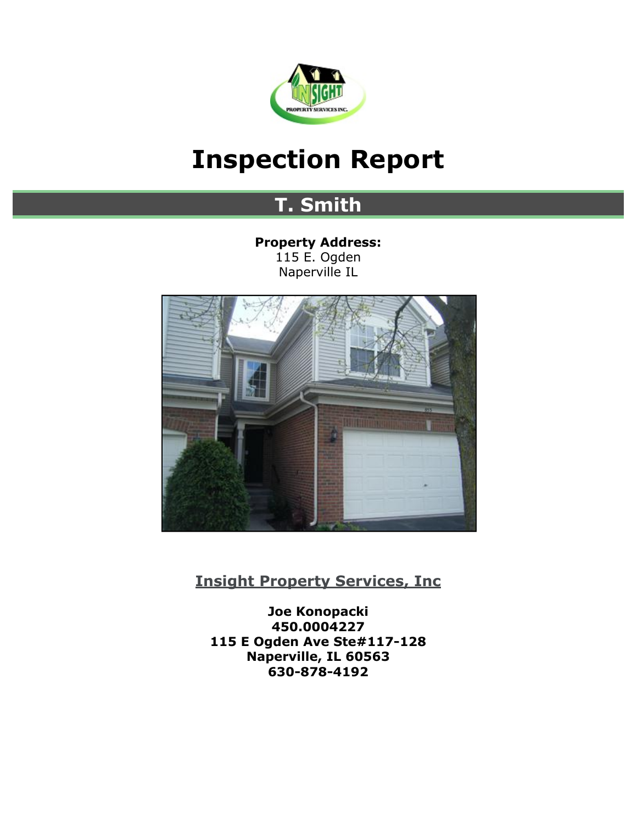

# <span id="page-0-0"></span>**Inspection Report**

# **T. Smith**

**Property Address:** 115 E. Ogden Naperville IL



**[Insight Property Services, Inc](http://insightpropertyservicesinc.com)**

**Joe Konopacki 450.0004227 115 E Ogden Ave Ste#117-128 Naperville, IL 60563 630-878-4192**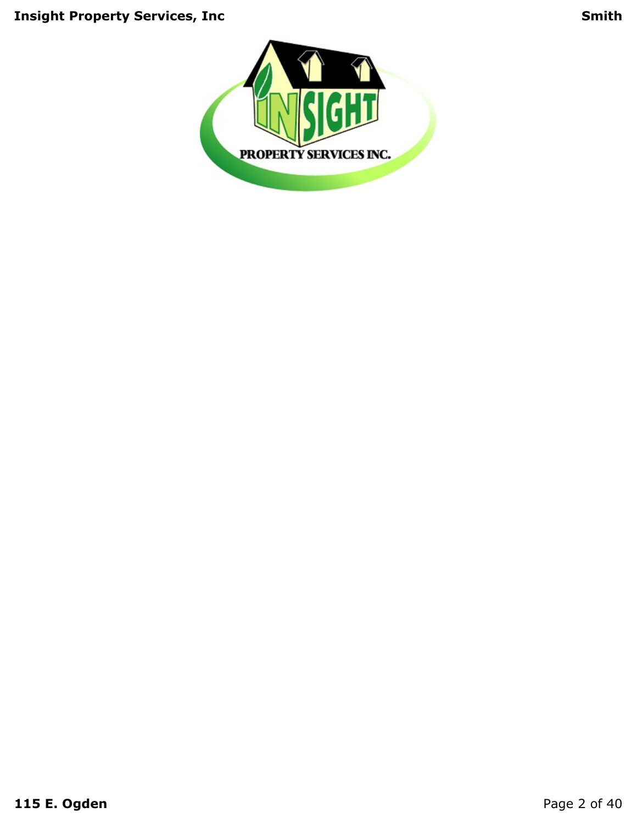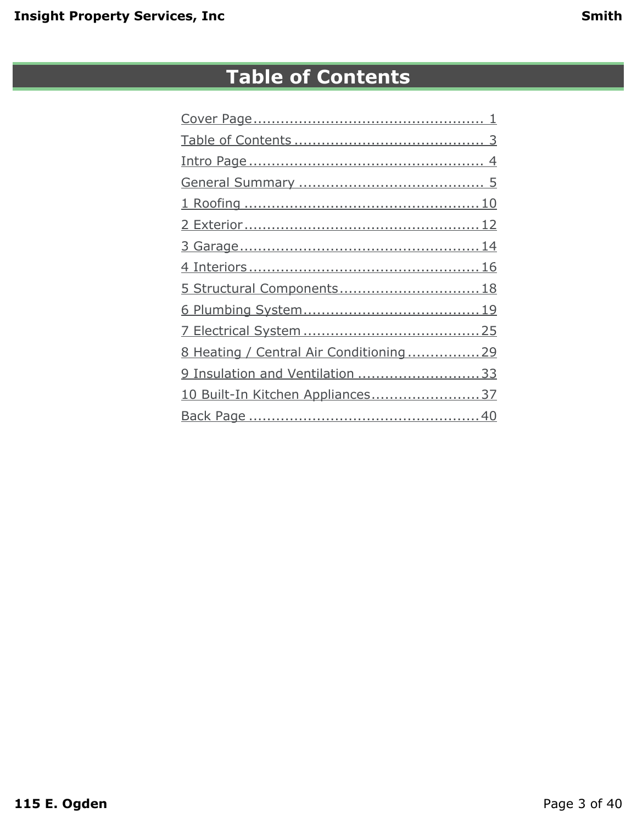# **Table of Contents**

<span id="page-2-0"></span>

| 5 Structural Components 18               |
|------------------------------------------|
|                                          |
|                                          |
| 8 Heating / Central Air Conditioning  29 |
| 9 Insulation and Ventilation 33          |
| 10 Built-In Kitchen Appliances37         |
|                                          |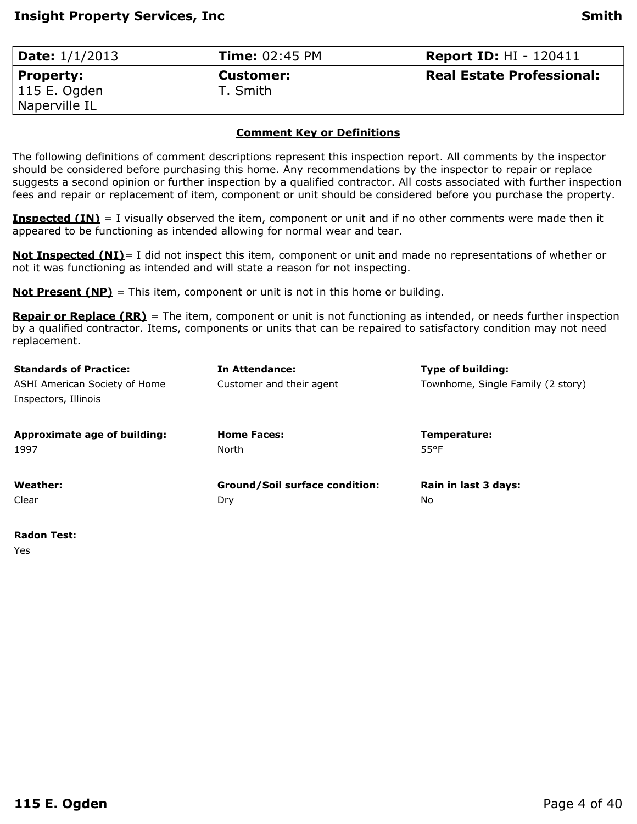<span id="page-3-0"></span>

| <b>Date:</b> $1/1/2013$ | <b>Time: 02:45 PM</b> | <b>Report ID: HI - 120411</b>    |
|-------------------------|-----------------------|----------------------------------|
| Property:               | <b>Customer:</b>      | <b>Real Estate Professional:</b> |
| 115 E. Ogden            | T. Smith              |                                  |
| Naperville IL           |                       |                                  |

#### **Comment Key or Definitions**

The following definitions of comment descriptions represent this inspection report. All comments by the inspector should be considered before purchasing this home. Any recommendations by the inspector to repair or replace suggests a second opinion or further inspection by a qualified contractor. All costs associated with further inspection fees and repair or replacement of item, component or unit should be considered before you purchase the property.

**Inspected (IN)** = I visually observed the item, component or unit and if no other comments were made then it appeared to be functioning as intended allowing for normal wear and tear.

**Not Inspected (NI)**= I did not inspect this item, component or unit and made no representations of whether or not it was functioning as intended and will state a reason for not inspecting.

**Not Present (NP)** = This item, component or unit is not in this home or building.

**Repair or Replace (RR)** = The item, component or unit is not functioning as intended, or needs further inspection by a qualified contractor. Items, components or units that can be repaired to satisfactory condition may not need replacement.

| <b>Standards of Practice:</b><br>ASHI American Society of Home<br>Inspectors, Illinois | In Attendance:<br>Customer and their agent | <b>Type of building:</b><br>Townhome, Single Family (2 story) |
|----------------------------------------------------------------------------------------|--------------------------------------------|---------------------------------------------------------------|
| <b>Approximate age of building:</b>                                                    | <b>Home Faces:</b>                         | Temperature:                                                  |
| 1997                                                                                   | North                                      | 55°F                                                          |
| Weather:                                                                               | <b>Ground/Soil surface condition:</b>      | Rain in last 3 days:                                          |
| Clear                                                                                  | Dry                                        | No.                                                           |

**Radon Test:**

Yes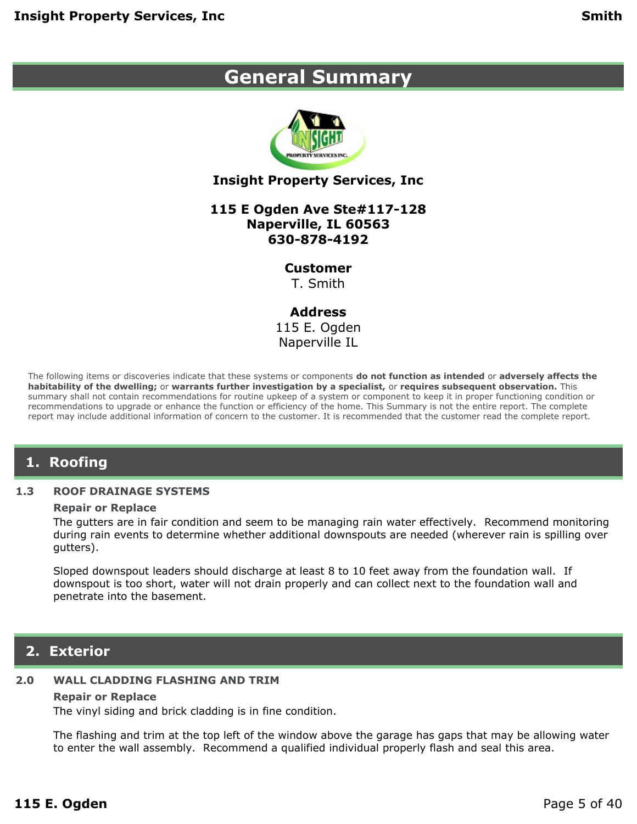## <span id="page-4-0"></span>**General Summary**



## **Insight Property Services, Inc**

### **115 E Ogden Ave Ste#117-128 Naperville, IL 60563 630-878-4192**

#### **Customer**

T. Smith

#### **Address**

115 E. Ogden Naperville IL

The following items or discoveries indicate that these systems or components **do not function as intended** or **adversely affects the habitability of the dwelling;** or **warrants further investigation by a specialist,** or **requires subsequent observation.** This summary shall not contain recommendations for routine upkeep of a system or component to keep it in proper functioning condition or recommendations to upgrade or enhance the function or efficiency of the home. This Summary is not the entire report. The complete report may include additional information of concern to the customer. It is recommended that the customer read the complete report.

## **1. Roofing**

#### **1.3 ROOF DRAINAGE SYSTEMS**

#### **Repair or Replace**

The gutters are in fair condition and seem to be managing rain water effectively. Recommend monitoring during rain events to determine whether additional downspouts are needed (wherever rain is spilling over gutters).

Sloped downspout leaders should discharge at least 8 to 10 feet away from the foundation wall. If downspout is too short, water will not drain properly and can collect next to the foundation wall and penetrate into the basement.

### **2. Exterior**

### **2.0 WALL CLADDING FLASHING AND TRIM**

#### **Repair or Replace**

The vinyl siding and brick cladding is in fine condition.

The flashing and trim at the top left of the window above the garage has gaps that may be allowing water to enter the wall assembly. Recommend a qualified individual properly flash and seal this area.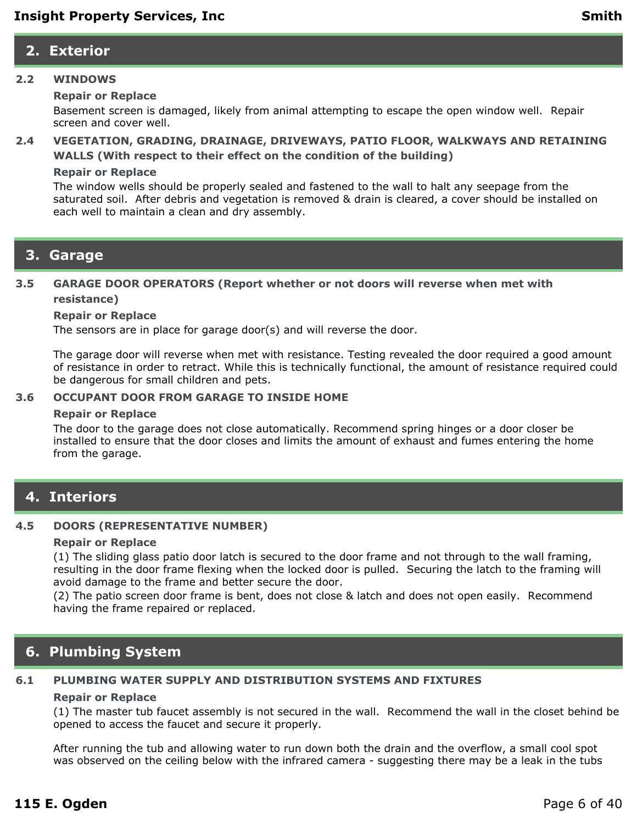### **2. Exterior**

#### **2.2 WINDOWS**

#### **Repair or Replace**

Basement screen is damaged, likely from animal attempting to escape the open window well. Repair screen and cover well.

#### **2.4 VEGETATION, GRADING, DRAINAGE, DRIVEWAYS, PATIO FLOOR, WALKWAYS AND RETAINING WALLS (With respect to their effect on the condition of the building)**

#### **Repair or Replace**

The window wells should be properly sealed and fastened to the wall to halt any seepage from the saturated soil. After debris and vegetation is removed & drain is cleared, a cover should be installed on each well to maintain a clean and dry assembly.

## **3. Garage**

#### **3.5 GARAGE DOOR OPERATORS (Report whether or not doors will reverse when met with resistance)**

#### **Repair or Replace**

The sensors are in place for garage door(s) and will reverse the door.

The garage door will reverse when met with resistance. Testing revealed the door required a good amount of resistance in order to retract. While this is technically functional, the amount of resistance required could be dangerous for small children and pets.

#### **3.6 OCCUPANT DOOR FROM GARAGE TO INSIDE HOME**

#### **Repair or Replace**

The door to the garage does not close automatically. Recommend spring hinges or a door closer be installed to ensure that the door closes and limits the amount of exhaust and fumes entering the home from the garage.

## **4. Interiors**

#### **4.5 DOORS (REPRESENTATIVE NUMBER)**

#### **Repair or Replace**

(1) The sliding glass patio door latch is secured to the door frame and not through to the wall framing, resulting in the door frame flexing when the locked door is pulled. Securing the latch to the framing will avoid damage to the frame and better secure the door.

(2) The patio screen door frame is bent, does not close & latch and does not open easily. Recommend having the frame repaired or replaced.

## **6. Plumbing System**

#### **6.1 PLUMBING WATER SUPPLY AND DISTRIBUTION SYSTEMS AND FIXTURES**

#### **Repair or Replace**

(1) The master tub faucet assembly is not secured in the wall. Recommend the wall in the closet behind be opened to access the faucet and secure it properly.

After running the tub and allowing water to run down both the drain and the overflow, a small cool spot was observed on the ceiling below with the infrared camera - suggesting there may be a leak in the tubs

## **115 E. Ogden** Page 6 of 40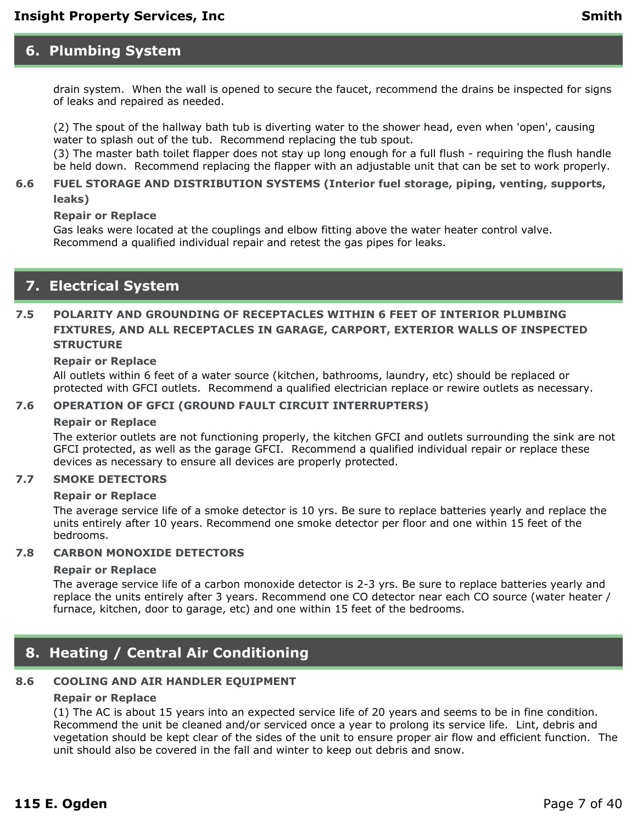## **6. Plumbing System**

drain system. When the wall is opened to secure the faucet, recommend the drains be inspected for signs of leaks and repaired as needed.

(2) The spout of the hallway bath tub is diverting water to the shower head, even when 'open', causing water to splash out of the tub. Recommend replacing the tub spout.

(3) The master bath toilet flapper does not stay up long enough for a full flush - requiring the flush handle be held down. Recommend replacing the flapper with an adjustable unit that can be set to work properly.

#### **6.6 FUEL STORAGE AND DISTRIBUTION SYSTEMS (Interior fuel storage, piping, venting, supports, leaks)**

#### **Repair or Replace**

Gas leaks were located at the couplings and elbow fitting above the water heater control valve. Recommend a qualified individual repair and retest the gas pipes for leaks.

## **7. Electrical System**

#### **7.5 POLARITY AND GROUNDING OF RECEPTACLES WITHIN 6 FEET OF INTERIOR PLUMBING FIXTURES, AND ALL RECEPTACLES IN GARAGE, CARPORT, EXTERIOR WALLS OF INSPECTED STRUCTURE**

#### **Repair or Replace**

All outlets within 6 feet of a water source (kitchen, bathrooms, laundry, etc) should be replaced or protected with GFCI outlets. Recommend a qualified electrician replace or rewire outlets as necessary.

#### **7.6 OPERATION OF GFCI (GROUND FAULT CIRCUIT INTERRUPTERS)**

#### **Repair or Replace**

The exterior outlets are not functioning properly, the kitchen GFCI and outlets surrounding the sink are not GFCI protected, as well as the garage GFCI. Recommend a qualified individual repair or replace these devices as necessary to ensure all devices are properly protected.

#### **7.7 SMOKE DETECTORS**

#### **Repair or Replace**

The average service life of a smoke detector is 10 yrs. Be sure to replace batteries yearly and replace the units entirely after 10 years. Recommend one smoke detector per floor and one within 15 feet of the bedrooms.

#### **7.8 CARBON MONOXIDE DETECTORS**

#### **Repair or Replace**

The average service life of a carbon monoxide detector is 2-3 yrs. Be sure to replace batteries yearly and replace the units entirely after 3 years. Recommend one CO detector near each CO source (water heater / furnace, kitchen, door to garage, etc) and one within 15 feet of the bedrooms.

## **8. Heating / Central Air Conditioning**

#### **8.6 COOLING AND AIR HANDLER EQUIPMENT**

#### **Repair or Replace**

(1) The AC is about 15 years into an expected service life of 20 years and seems to be in fine condition. Recommend the unit be cleaned and/or serviced once a year to prolong its service life. Lint, debris and vegetation should be kept clear of the sides of the unit to ensure proper air flow and efficient function. The unit should also be covered in the fall and winter to keep out debris and snow.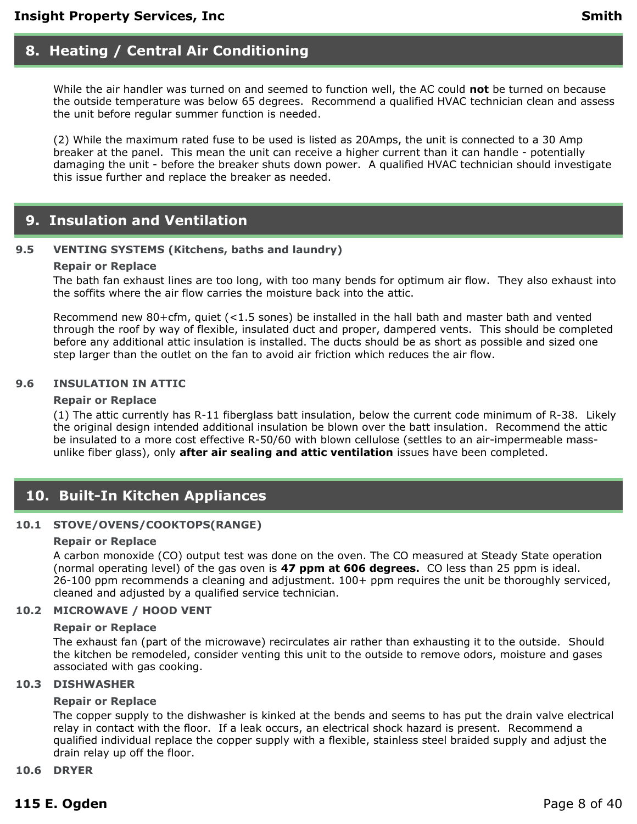## **8. Heating / Central Air Conditioning**

While the air handler was turned on and seemed to function well, the AC could **not** be turned on because the outside temperature was below 65 degrees. Recommend a qualified HVAC technician clean and assess the unit before regular summer function is needed.

(2) While the maximum rated fuse to be used is listed as 20Amps, the unit is connected to a 30 Amp breaker at the panel. This mean the unit can receive a higher current than it can handle - potentially damaging the unit - before the breaker shuts down power. A qualified HVAC technician should investigate this issue further and replace the breaker as needed.

## **9. Insulation and Ventilation**

#### **9.5 VENTING SYSTEMS (Kitchens, baths and laundry)**

#### **Repair or Replace**

The bath fan exhaust lines are too long, with too many bends for optimum air flow. They also exhaust into the soffits where the air flow carries the moisture back into the attic.

Recommend new 80+cfm, quiet (<1.5 sones) be installed in the hall bath and master bath and vented through the roof by way of flexible, insulated duct and proper, dampered vents. This should be completed before any additional attic insulation is installed. The ducts should be as short as possible and sized one step larger than the outlet on the fan to avoid air friction which reduces the air flow.

#### **9.6 INSULATION IN ATTIC**

#### **Repair or Replace**

(1) The attic currently has R-11 fiberglass batt insulation, below the current code minimum of R-38. Likely the original design intended additional insulation be blown over the batt insulation. Recommend the attic be insulated to a more cost effective R-50/60 with blown cellulose (settles to an air-impermeable massunlike fiber glass), only **after air sealing and attic ventilation** issues have been completed.

## **10. Built-In Kitchen Appliances**

### **10.1 STOVE/OVENS/COOKTOPS(RANGE)**

#### **Repair or Replace**

A carbon monoxide (CO) output test was done on the oven. The CO measured at Steady State operation (normal operating level) of the gas oven is **47 ppm at 606 degrees.** CO less than 25 ppm is ideal. 26-100 ppm recommends a cleaning and adjustment. 100+ ppm requires the unit be thoroughly serviced, cleaned and adjusted by a qualified service technician.

### **10.2 MICROWAVE / HOOD VENT**

### **Repair or Replace**

The exhaust fan (part of the microwave) recirculates air rather than exhausting it to the outside. Should the kitchen be remodeled, consider venting this unit to the outside to remove odors, moisture and gases associated with gas cooking.

### **10.3 DISHWASHER**

### **Repair or Replace**

The copper supply to the dishwasher is kinked at the bends and seems to has put the drain valve electrical relay in contact with the floor. If a leak occurs, an electrical shock hazard is present. Recommend a qualified individual replace the copper supply with a flexible, stainless steel braided supply and adjust the drain relay up off the floor.

#### **10.6 DRYER**

## **115 E. Ogden** Page 8 of 40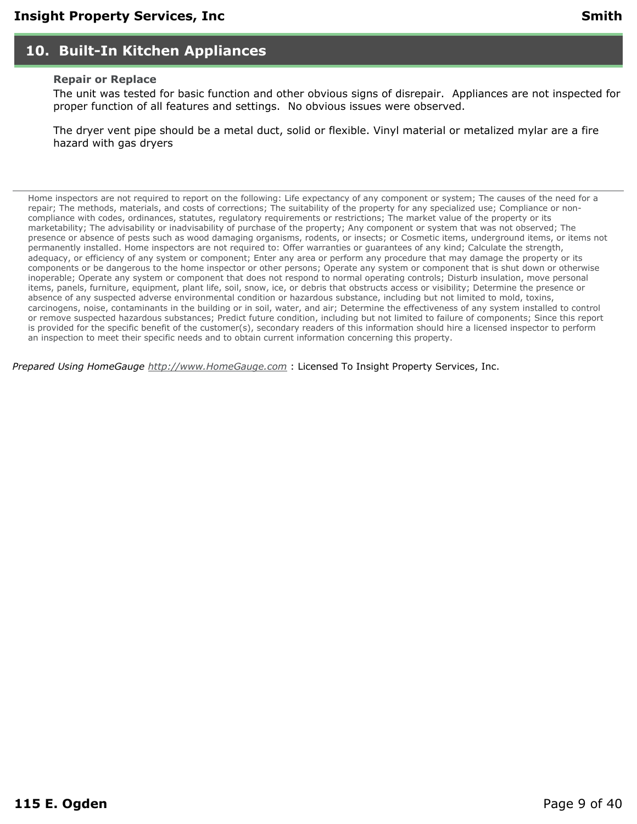#### **Repair or Replace**

The unit was tested for basic function and other obvious signs of disrepair. Appliances are not inspected for proper function of all features and settings. No obvious issues were observed.

The dryer vent pipe should be a metal duct, solid or flexible. Vinyl material or metalized mylar are a fire hazard with gas dryers

Home inspectors are not required to report on the following: Life expectancy of any component or system; The causes of the need for a repair; The methods, materials, and costs of corrections; The suitability of the property for any specialized use; Compliance or noncompliance with codes, ordinances, statutes, regulatory requirements or restrictions; The market value of the property or its marketability; The advisability or inadvisability of purchase of the property; Any component or system that was not observed; The presence or absence of pests such as wood damaging organisms, rodents, or insects; or Cosmetic items, underground items, or items not permanently installed. Home inspectors are not required to: Offer warranties or guarantees of any kind; Calculate the strength, adequacy, or efficiency of any system or component; Enter any area or perform any procedure that may damage the property or its components or be dangerous to the home inspector or other persons; Operate any system or component that is shut down or otherwise inoperable; Operate any system or component that does not respond to normal operating controls; Disturb insulation, move personal items, panels, furniture, equipment, plant life, soil, snow, ice, or debris that obstructs access or visibility; Determine the presence or absence of any suspected adverse environmental condition or hazardous substance, including but not limited to mold, toxins, carcinogens, noise, contaminants in the building or in soil, water, and air; Determine the effectiveness of any system installed to control or remove suspected hazardous substances; Predict future condition, including but not limited to failure of components; Since this report is provided for the specific benefit of the customer(s), secondary readers of this information should hire a licensed inspector to perform an inspection to meet their specific needs and to obtain current information concerning this property.

*Prepared Using HomeGauge <http://www.HomeGauge.com>* : Licensed To Insight Property Services, Inc.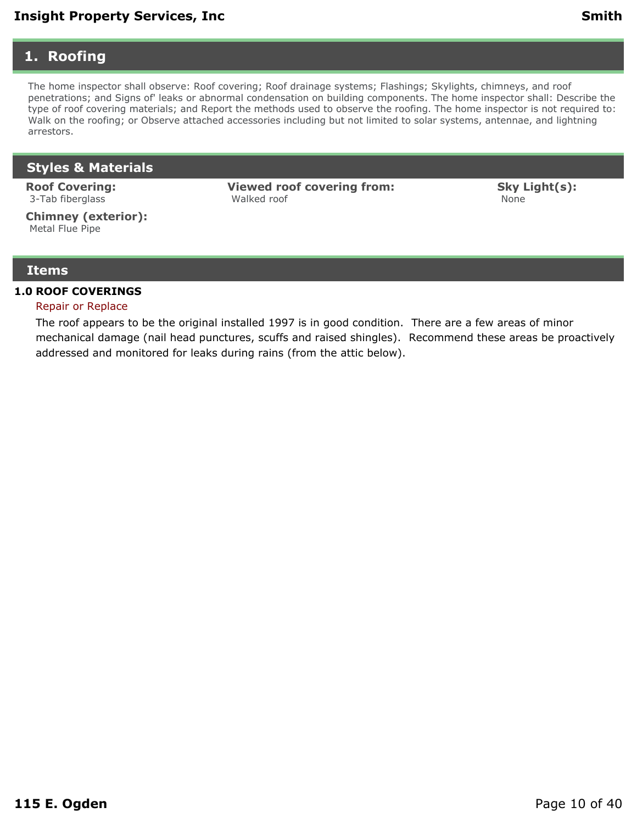## <span id="page-9-0"></span>**1. Roofing**

The home inspector shall observe: Roof covering; Roof drainage systems; Flashings; Skylights, chimneys, and roof penetrations; and Signs of' leaks or abnormal condensation on building components. The home inspector shall: Describe the type of roof covering materials; and Report the methods used to observe the roofing. The home inspector is not required to: Walk on the roofing; or Observe attached accessories including but not limited to solar systems, antennae, and lightning arrestors.

#### **Styles & Materials**

**Roof Covering:** 3-Tab fiberglass

**Viewed roof covering from:** Walked roof

**Sky Light(s):** None

**Chimney (exterior):** Metal Flue Pipe

#### **Items**

#### **1.0 ROOF COVERINGS**

#### Repair or Replace

The roof appears to be the original installed 1997 is in good condition. There are a few areas of minor mechanical damage (nail head punctures, scuffs and raised shingles). Recommend these areas be proactively addressed and monitored for leaks during rains (from the attic below).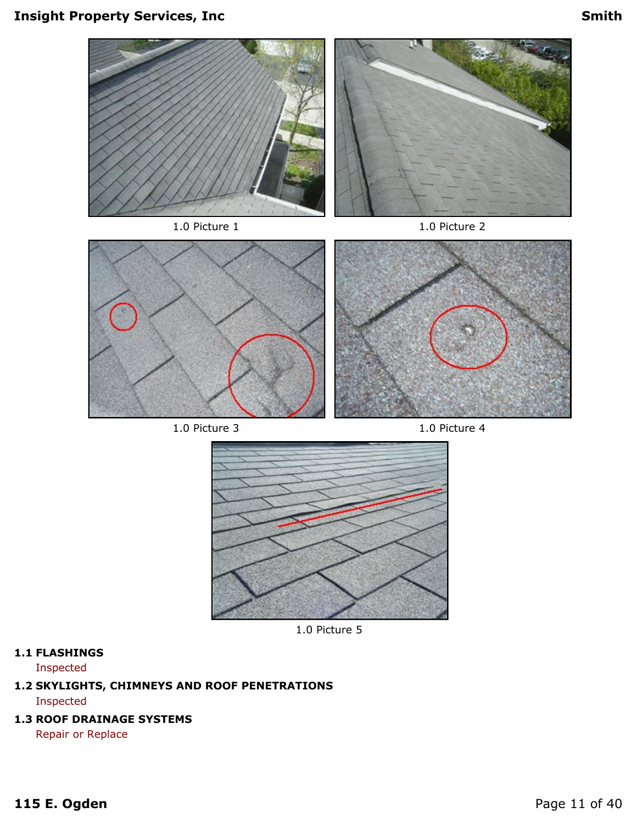







1.0 Picture 5

## **1.1 FLASHINGS**

Inspected

**1.2 SKYLIGHTS, CHIMNEYS AND ROOF PENETRATIONS** Inspected

### **1.3 ROOF DRAINAGE SYSTEMS**

Repair or Replace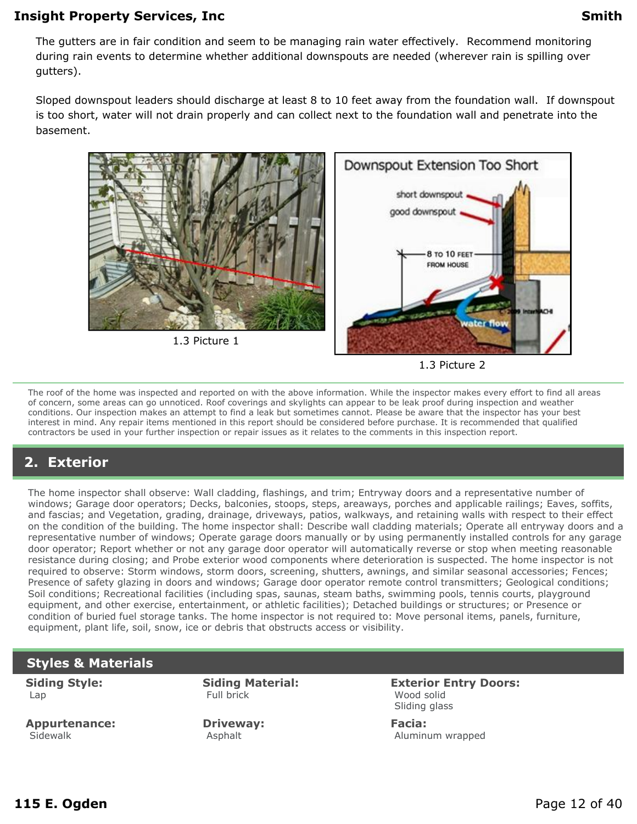The gutters are in fair condition and seem to be managing rain water effectively. Recommend monitoring during rain events to determine whether additional downspouts are needed (wherever rain is spilling over gutters).

Sloped downspout leaders should discharge at least 8 to 10 feet away from the foundation wall. If downspout is too short, water will not drain properly and can collect next to the foundation wall and penetrate into the basement.





The roof of the home was inspected and reported on with the above information. While the inspector makes every effort to find all areas of concern, some areas can go unnoticed. Roof coverings and skylights can appear to be leak proof during inspection and weather conditions. Our inspection makes an attempt to find a leak but sometimes cannot. Please be aware that the inspector has your best interest in mind. Any repair items mentioned in this report should be considered before purchase. It is recommended that qualified contractors be used in your further inspection or repair issues as it relates to the comments in this inspection report.

## <span id="page-11-0"></span>**2. Exterior**

The home inspector shall observe: Wall cladding, flashings, and trim; Entryway doors and a representative number of windows; Garage door operators; Decks, balconies, stoops, steps, areaways, porches and applicable railings; Eaves, soffits, and fascias; and Vegetation, grading, drainage, driveways, patios, walkways, and retaining walls with respect to their effect on the condition of the building. The home inspector shall: Describe wall cladding materials; Operate all entryway doors and a representative number of windows; Operate garage doors manually or by using permanently installed controls for any garage door operator; Report whether or not any garage door operator will automatically reverse or stop when meeting reasonable resistance during closing; and Probe exterior wood components where deterioration is suspected. The home inspector is not required to observe: Storm windows, storm doors, screening, shutters, awnings, and similar seasonal accessories; Fences; Presence of safety glazing in doors and windows; Garage door operator remote control transmitters; Geological conditions; Soil conditions; Recreational facilities (including spas, saunas, steam baths, swimming pools, tennis courts, playground equipment, and other exercise, entertainment, or athletic facilities); Detached buildings or structures; or Presence or condition of buried fuel storage tanks. The home inspector is not required to: Move personal items, panels, furniture, equipment, plant life, soil, snow, ice or debris that obstructs access or visibility.

## **Styles & Materials**

**Siding Style:** Lap

**Appurtenance:** Sidewalk

**Siding Material:** Full brick

**Driveway:** Asphalt

**Exterior Entry Doors:** Wood solid Sliding glass

**Facia:** Aluminum wrapped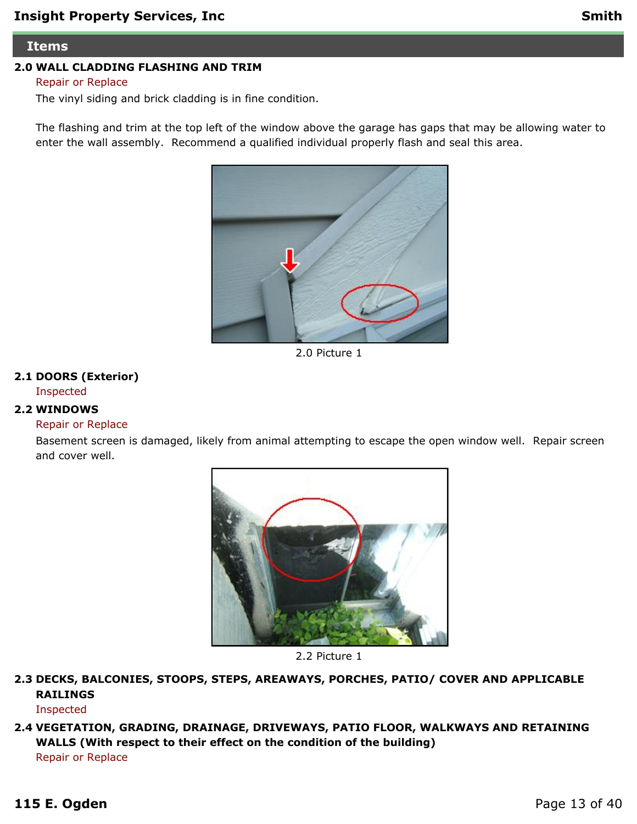### **Items**

#### **2.0 WALL CLADDING FLASHING AND TRIM**

#### Repair or Replace

The vinyl siding and brick cladding is in fine condition.

The flashing and trim at the top left of the window above the garage has gaps that may be allowing water to enter the wall assembly. Recommend a qualified individual properly flash and seal this area.



2.0 Picture 1

#### **2.1 DOORS (Exterior)**

Inspected

#### **2.2 WINDOWS**

#### Repair or Replace

Basement screen is damaged, likely from animal attempting to escape the open window well. Repair screen and cover well.



2.2 Picture 1

**2.3 DECKS, BALCONIES, STOOPS, STEPS, AREAWAYS, PORCHES, PATIO/ COVER AND APPLICABLE RAILINGS**

Inspected

**2.4 VEGETATION, GRADING, DRAINAGE, DRIVEWAYS, PATIO FLOOR, WALKWAYS AND RETAINING WALLS (With respect to their effect on the condition of the building)** Repair or Replace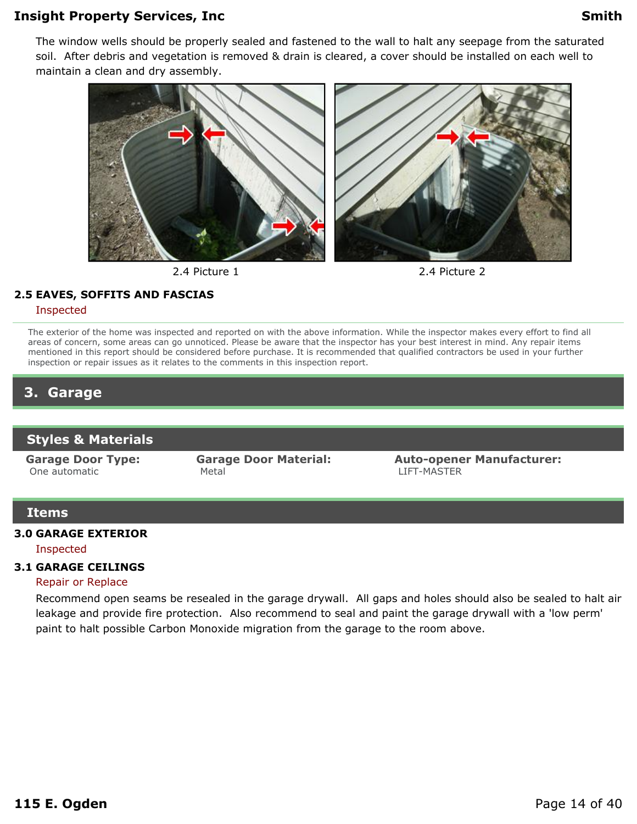The window wells should be properly sealed and fastened to the wall to halt any seepage from the saturated soil. After debris and vegetation is removed & drain is cleared, a cover should be installed on each well to maintain a clean and dry assembly.



2.4 Picture 1 2.4 Picture 2

#### **2.5 EAVES, SOFFITS AND FASCIAS**

Inspected

The exterior of the home was inspected and reported on with the above information. While the inspector makes every effort to find all areas of concern, some areas can go unnoticed. Please be aware that the inspector has your best interest in mind. Any repair items mentioned in this report should be considered before purchase. It is recommended that qualified contractors be used in your further inspection or repair issues as it relates to the comments in this inspection report.

## <span id="page-13-0"></span>**3. Garage**

#### **Styles & Materials**

**Garage Door Type:** One automatic

**Garage Door Material:** Metal

**Auto-opener Manufacturer:** LIFT-MASTER

#### **Items**

#### **3.0 GARAGE EXTERIOR**

Inspected

### **3.1 GARAGE CEILINGS**

#### Repair or Replace

Recommend open seams be resealed in the garage drywall. All gaps and holes should also be sealed to halt air leakage and provide fire protection. Also recommend to seal and paint the garage drywall with a 'low perm' paint to halt possible Carbon Monoxide migration from the garage to the room above.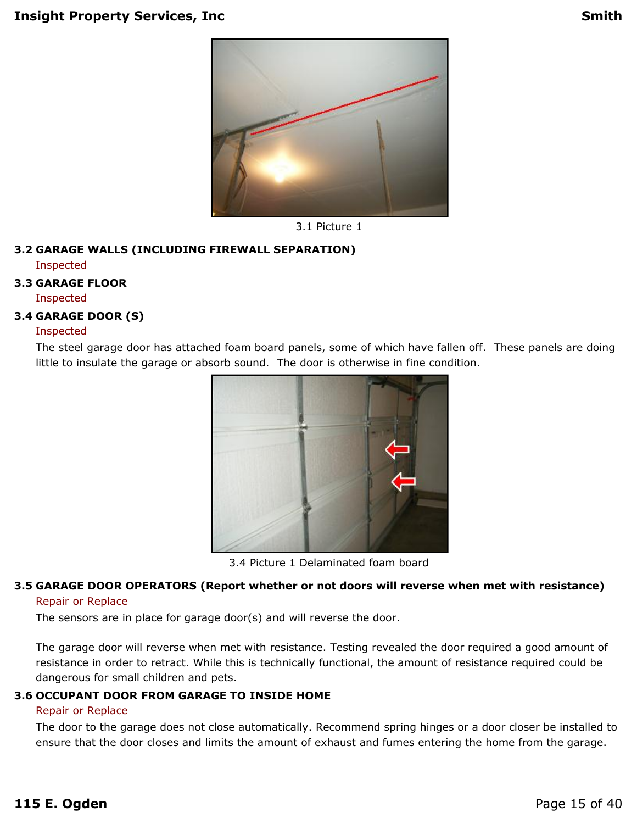

3.1 Picture 1

## **3.2 GARAGE WALLS (INCLUDING FIREWALL SEPARATION)**

Inspected

#### **3.3 GARAGE FLOOR**

Inspected

#### **3.4 GARAGE DOOR (S)**

#### Inspected

The steel garage door has attached foam board panels, some of which have fallen off. These panels are doing little to insulate the garage or absorb sound. The door is otherwise in fine condition.



3.4 Picture 1 Delaminated foam board

## **3.5 GARAGE DOOR OPERATORS (Report whether or not doors will reverse when met with resistance)**

#### Repair or Replace

The sensors are in place for garage door(s) and will reverse the door.

The garage door will reverse when met with resistance. Testing revealed the door required a good amount of resistance in order to retract. While this is technically functional, the amount of resistance required could be dangerous for small children and pets.

#### **3.6 OCCUPANT DOOR FROM GARAGE TO INSIDE HOME**

#### Repair or Replace

The door to the garage does not close automatically. Recommend spring hinges or a door closer be installed to ensure that the door closes and limits the amount of exhaust and fumes entering the home from the garage.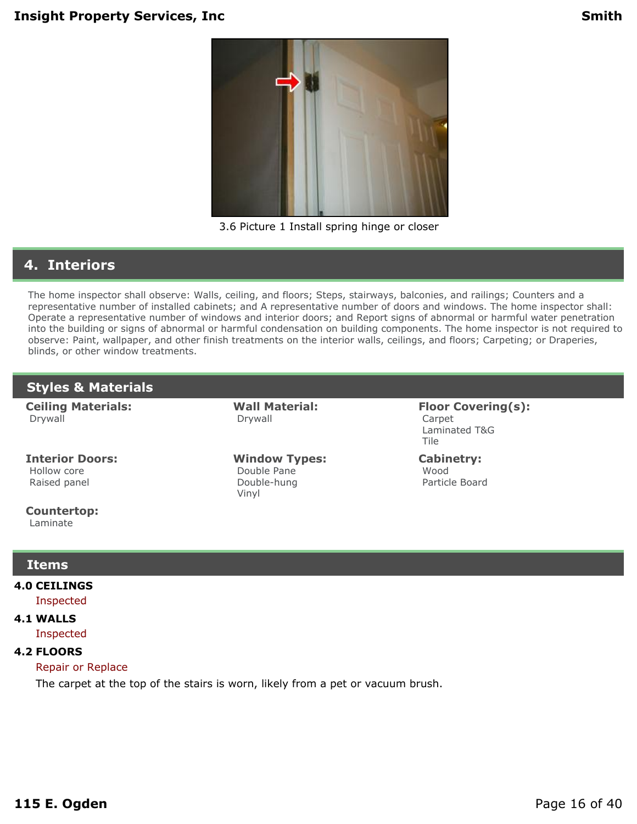

3.6 Picture 1 Install spring hinge or closer

## <span id="page-15-0"></span>**4. Interiors**

The home inspector shall observe: Walls, ceiling, and floors; Steps, stairways, balconies, and railings; Counters and a representative number of installed cabinets; and A representative number of doors and windows. The home inspector shall: Operate a representative number of windows and interior doors; and Report signs of abnormal or harmful water penetration into the building or signs of abnormal or harmful condensation on building components. The home inspector is not required to observe: Paint, wallpaper, and other finish treatments on the interior walls, ceilings, and floors; Carpeting; or Draperies, blinds, or other window treatments.

### **Styles & Materials**

**Ceiling Materials:** Drywall

#### **Interior Doors:**

Hollow core Raised panel

#### **Countertop:**

Laminate

**Wall Material:** Drywall

#### **Window Types:**

Double Pane Double-hung Vinyl

**Floor Covering(s):** Carpet Laminated T&G Tile

**Cabinetry:** Wood Particle Board

### **Items**

#### **4.0 CEILINGS**

Inspected

#### **4.1 WALLS**

Inspected

#### **4.2 FLOORS**

#### Repair or Replace

The carpet at the top of the stairs is worn, likely from a pet or vacuum brush.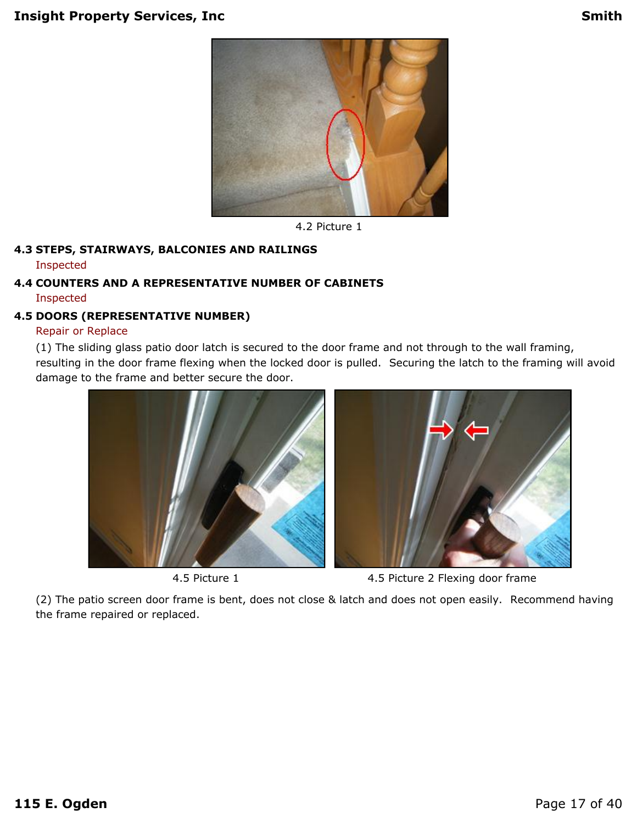

4.2 Picture 1

## **4.3 STEPS, STAIRWAYS, BALCONIES AND RAILINGS**

Inspected

## **4.4 COUNTERS AND A REPRESENTATIVE NUMBER OF CABINETS**

Inspected

#### **4.5 DOORS (REPRESENTATIVE NUMBER)**

#### Repair or Replace

(1) The sliding glass patio door latch is secured to the door frame and not through to the wall framing,

resulting in the door frame flexing when the locked door is pulled. Securing the latch to the framing will avoid damage to the frame and better secure the door.



4.5 Picture 1 4.5 Picture 2 Flexing door frame

(2) The patio screen door frame is bent, does not close & latch and does not open easily. Recommend having the frame repaired or replaced.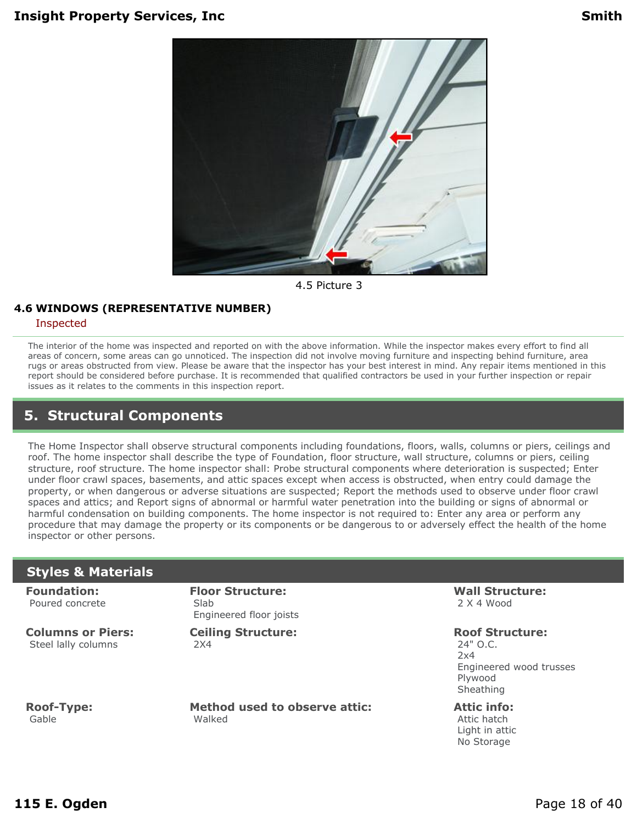

4.5 Picture 3

#### **4.6 WINDOWS (REPRESENTATIVE NUMBER)**

Inspected

The interior of the home was inspected and reported on with the above information. While the inspector makes every effort to find all areas of concern, some areas can go unnoticed. The inspection did not involve moving furniture and inspecting behind furniture, area rugs or areas obstructed from view. Please be aware that the inspector has your best interest in mind. Any repair items mentioned in this report should be considered before purchase. It is recommended that qualified contractors be used in your further inspection or repair issues as it relates to the comments in this inspection report.

## <span id="page-17-0"></span>**5. Structural Components**

The Home Inspector shall observe structural components including foundations, floors, walls, columns or piers, ceilings and roof. The home inspector shall describe the type of Foundation, floor structure, wall structure, columns or piers, ceiling structure, roof structure. The home inspector shall: Probe structural components where deterioration is suspected; Enter under floor crawl spaces, basements, and attic spaces except when access is obstructed, when entry could damage the property, or when dangerous or adverse situations are suspected; Report the methods used to observe under floor crawl spaces and attics; and Report signs of abnormal or harmful water penetration into the building or signs of abnormal or harmful condensation on building components. The home inspector is not required to: Enter any area or perform any procedure that may damage the property or its components or be dangerous to or adversely effect the health of the home inspector or other persons.

### **Styles & Materials**

**Foundation:** Poured concrete

**Columns or Piers:** Steel lally columns

**Floor Structure:** Slab Engineered floor joists

**Ceiling Structure:** 2X4

**Roof-Type:** Gable

**Method used to observe attic:** Walked

**Wall Structure:** 2 X 4 Wood

#### **Roof Structure:**

24" O.C.  $2x4$ Engineered wood trusses Plywood Sheathing

**Attic info:**

Attic hatch Light in attic No Storage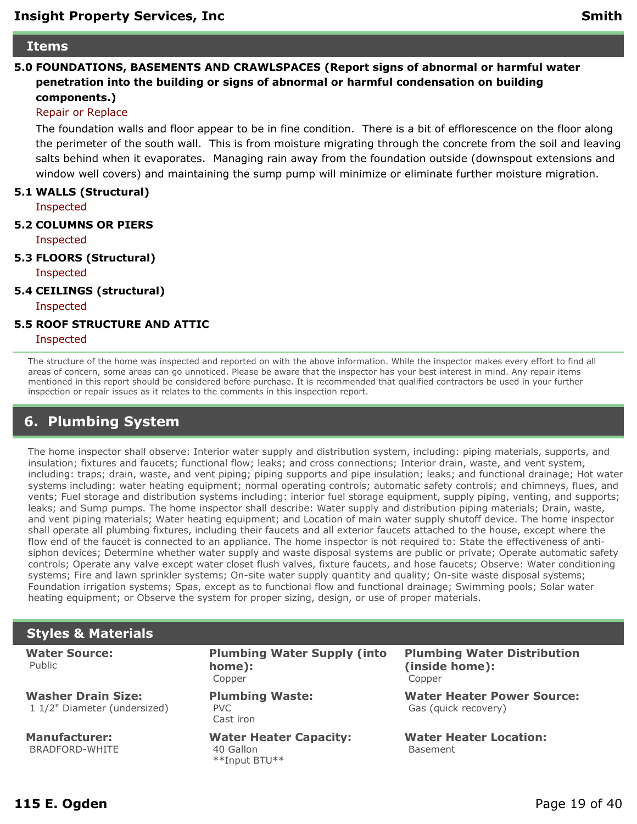#### **Items**

#### **5.0 FOUNDATIONS, BASEMENTS AND CRAWLSPACES (Report signs of abnormal or harmful water penetration into the building or signs of abnormal or harmful condensation on building components.)**

#### Repair or Replace

The foundation walls and floor appear to be in fine condition. There is a bit of efflorescence on the floor along the perimeter of the south wall. This is from moisture migrating through the concrete from the soil and leaving salts behind when it evaporates. Managing rain away from the foundation outside (downspout extensions and window well covers) and maintaining the sump pump will minimize or eliminate further moisture migration.

#### **5.1 WALLS (Structural)**

Inspected

**5.2 COLUMNS OR PIERS**

Inspected

**5.3 FLOORS (Structural)**

Inspected

#### **5.4 CEILINGS (structural)** Inspected

#### **5.5 ROOF STRUCTURE AND ATTIC**

Inspected

The structure of the home was inspected and reported on with the above information. While the inspector makes every effort to find all areas of concern, some areas can go unnoticed. Please be aware that the inspector has your best interest in mind. Any repair items mentioned in this report should be considered before purchase. It is recommended that qualified contractors be used in your further inspection or repair issues as it relates to the comments in this inspection report.

## <span id="page-18-0"></span>**6. Plumbing System**

The home inspector shall observe: Interior water supply and distribution system, including: piping materials, supports, and insulation; fixtures and faucets; functional flow; leaks; and cross connections; Interior drain, waste, and vent system, including: traps; drain, waste, and vent piping; piping supports and pipe insulation; leaks; and functional drainage; Hot water systems including: water heating equipment; normal operating controls; automatic safety controls; and chimneys, flues, and vents; Fuel storage and distribution systems including: interior fuel storage equipment, supply piping, venting, and supports; leaks; and Sump pumps. The home inspector shall describe: Water supply and distribution piping materials; Drain, waste, and vent piping materials; Water heating equipment; and Location of main water supply shutoff device. The home inspector shall operate all plumbing fixtures, including their faucets and all exterior faucets attached to the house, except where the flow end of the faucet is connected to an appliance. The home inspector is not required to: State the effectiveness of antisiphon devices; Determine whether water supply and waste disposal systems are public or private; Operate automatic safety controls; Operate any valve except water closet flush valves, fixture faucets, and hose faucets; Observe: Water conditioning systems; Fire and lawn sprinkler systems; On-site water supply quantity and quality; On-site waste disposal systems; Foundation irrigation systems; Spas, except as to functional flow and functional drainage; Swimming pools; Solar water heating equipment; or Observe the system for proper sizing, design, or use of proper materials.

## **Styles & Materials**

**Water Source:** Public

**Washer Drain Size:** 1 1/2" Diameter (undersized)

**Manufacturer:** BRADFORD-WHITE **Plumbing Water Supply (into home):** Copper **Plumbing Waste:** PVC Cast iron

**Water Heater Capacity:** 40 Gallon \*\*Input BTU\*\*

**Plumbing Water Distribution (inside home):** Copper

**Water Heater Power Source:** Gas (quick recovery)

**Water Heater Location:** Basement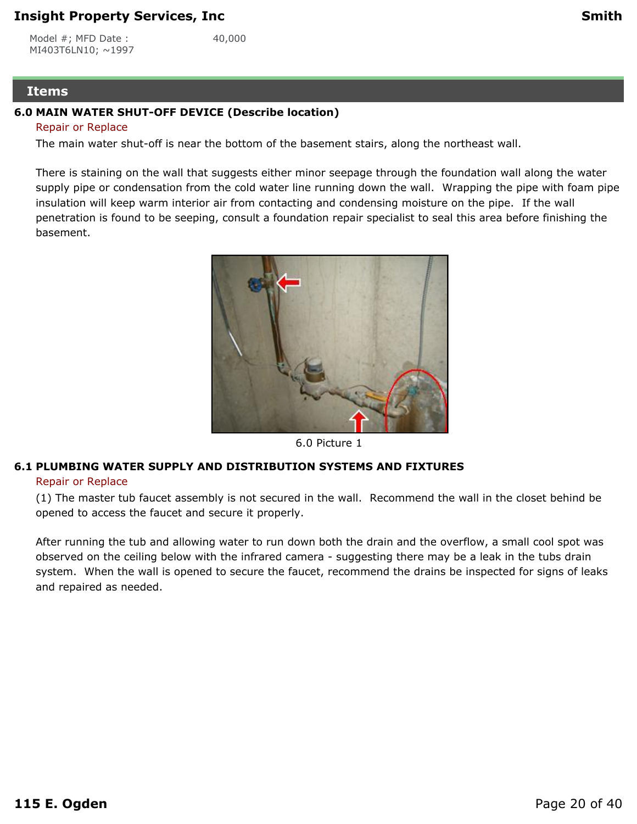Model #; MFD Date : MI403T6LN10; ~1997

40,000

#### **Items**

#### **6.0 MAIN WATER SHUT-OFF DEVICE (Describe location)**

#### Repair or Replace

The main water shut-off is near the bottom of the basement stairs, along the northeast wall.

There is staining on the wall that suggests either minor seepage through the foundation wall along the water supply pipe or condensation from the cold water line running down the wall. Wrapping the pipe with foam pipe insulation will keep warm interior air from contacting and condensing moisture on the pipe. If the wall penetration is found to be seeping, consult a foundation repair specialist to seal this area before finishing the basement.



6.0 Picture 1

#### **6.1 PLUMBING WATER SUPPLY AND DISTRIBUTION SYSTEMS AND FIXTURES**

#### Repair or Replace

(1) The master tub faucet assembly is not secured in the wall. Recommend the wall in the closet behind be opened to access the faucet and secure it properly.

After running the tub and allowing water to run down both the drain and the overflow, a small cool spot was observed on the ceiling below with the infrared camera - suggesting there may be a leak in the tubs drain system. When the wall is opened to secure the faucet, recommend the drains be inspected for signs of leaks and repaired as needed.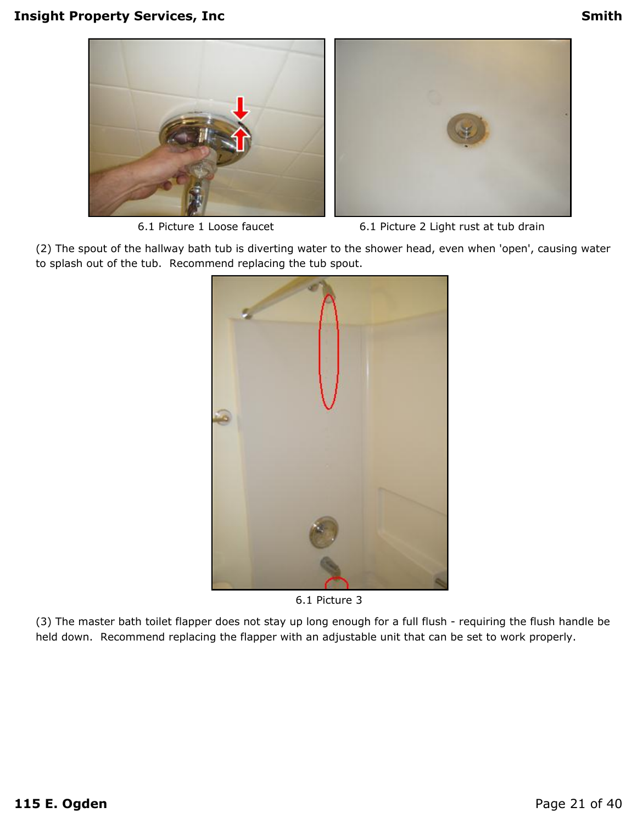





(2) The spout of the hallway bath tub is diverting water to the shower head, even when 'open', causing water to splash out of the tub. Recommend replacing the tub spout.



6.1 Picture 3

(3) The master bath toilet flapper does not stay up long enough for a full flush - requiring the flush handle be held down. Recommend replacing the flapper with an adjustable unit that can be set to work properly.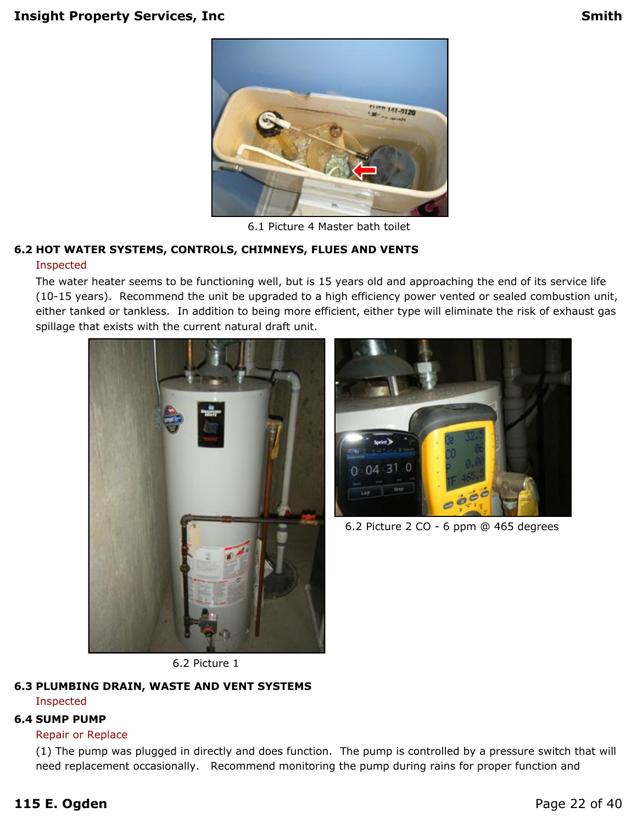

6.1 Picture 4 Master bath toilet

#### **6.2 HOT WATER SYSTEMS, CONTROLS, CHIMNEYS, FLUES AND VENTS** Inspected

The water heater seems to be functioning well, but is 15 years old and approaching the end of its service life (10-15 years). Recommend the unit be upgraded to a high efficiency power vented or sealed combustion unit, either tanked or tankless. In addition to being more efficient, either type will eliminate the risk of exhaust gas spillage that exists with the current natural draft unit.





6.2 Picture 2 CO - 6 ppm @ 465 degrees

6.2 Picture 1

## **6.3 PLUMBING DRAIN, WASTE AND VENT SYSTEMS**

#### Inspected

### **6.4 SUMP PUMP**

#### Repair or Replace

(1) The pump was plugged in directly and does function. The pump is controlled by a pressure switch that will need replacement occasionally. Recommend monitoring the pump during rains for proper function and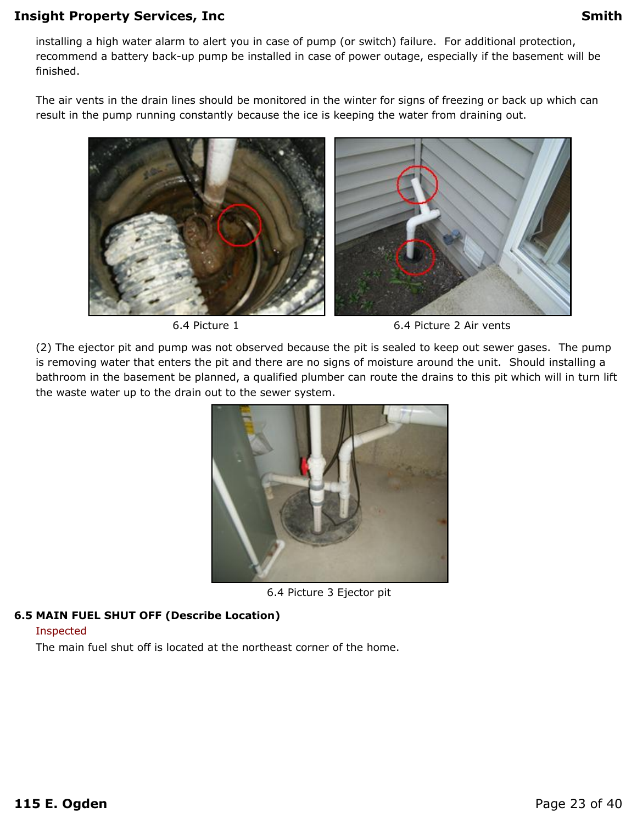The air vents in the drain lines should be monitored in the winter for signs of freezing or back up which can result in the pump running constantly because the ice is keeping the water from draining out.



6.4 Picture 1 6.4 Picture 2 Air vents

(2) The ejector pit and pump was not observed because the pit is sealed to keep out sewer gases. The pump is removing water that enters the pit and there are no signs of moisture around the unit. Should installing a bathroom in the basement be planned, a qualified plumber can route the drains to this pit which will in turn lift the waste water up to the drain out to the sewer system.



6.4 Picture 3 Ejector pit

## **6.5 MAIN FUEL SHUT OFF (Describe Location)**

Inspected

The main fuel shut off is located at the northeast corner of the home.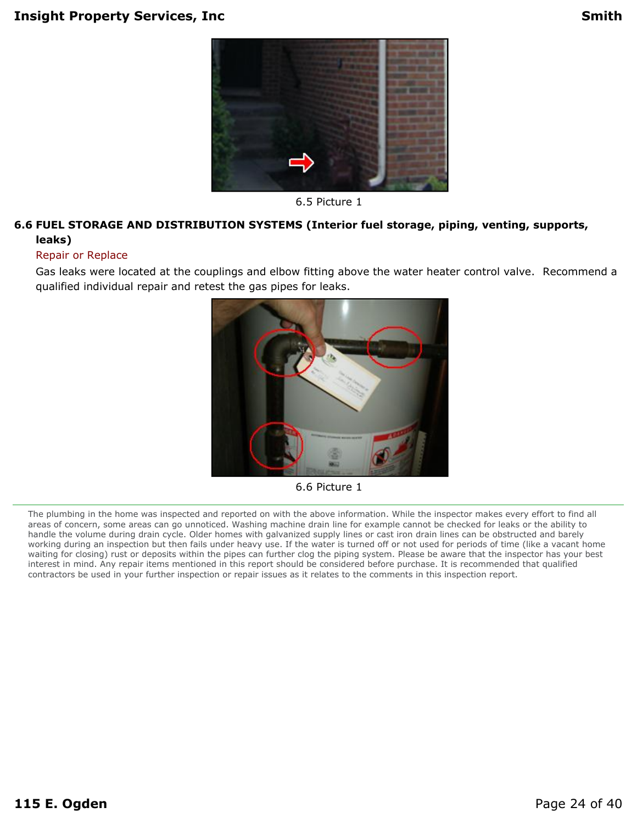

6.5 Picture 1

#### **6.6 FUEL STORAGE AND DISTRIBUTION SYSTEMS (Interior fuel storage, piping, venting, supports, leaks)**

#### Repair or Replace

Gas leaks were located at the couplings and elbow fitting above the water heater control valve. Recommend a qualified individual repair and retest the gas pipes for leaks.



6.6 Picture 1

The plumbing in the home was inspected and reported on with the above information. While the inspector makes every effort to find all areas of concern, some areas can go unnoticed. Washing machine drain line for example cannot be checked for leaks or the ability to handle the volume during drain cycle. Older homes with galvanized supply lines or cast iron drain lines can be obstructed and barely working during an inspection but then fails under heavy use. If the water is turned off or not used for periods of time (like a vacant home waiting for closing) rust or deposits within the pipes can further clog the piping system. Please be aware that the inspector has your best interest in mind. Any repair items mentioned in this report should be considered before purchase. It is recommended that qualified contractors be used in your further inspection or repair issues as it relates to the comments in this inspection report.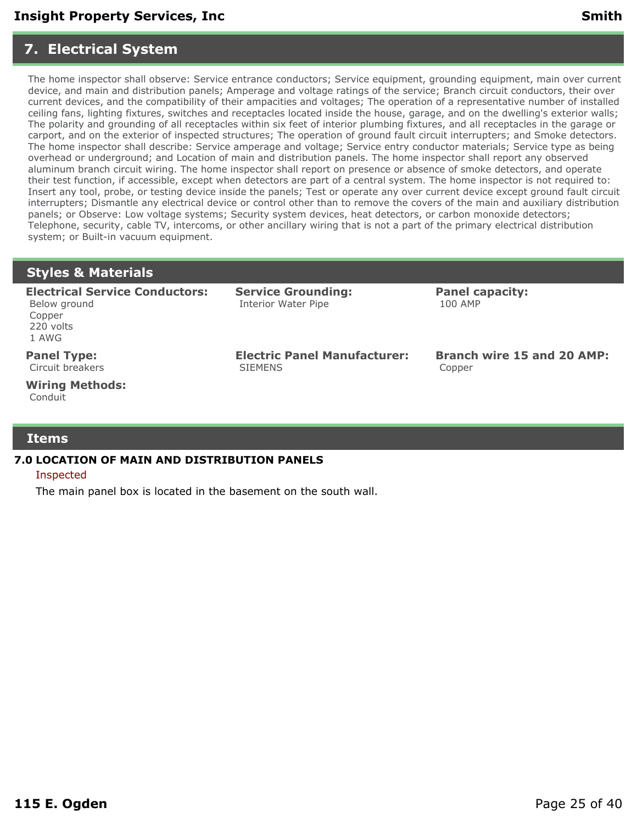## <span id="page-24-0"></span>**7. Electrical System**

The home inspector shall observe: Service entrance conductors; Service equipment, grounding equipment, main over current device, and main and distribution panels; Amperage and voltage ratings of the service; Branch circuit conductors, their over current devices, and the compatibility of their ampacities and voltages; The operation of a representative number of installed ceiling fans, lighting fixtures, switches and receptacles located inside the house, garage, and on the dwelling's exterior walls; The polarity and grounding of all receptacles within six feet of interior plumbing fixtures, and all receptacles in the garage or carport, and on the exterior of inspected structures; The operation of ground fault circuit interrupters; and Smoke detectors. The home inspector shall describe: Service amperage and voltage; Service entry conductor materials; Service type as being overhead or underground; and Location of main and distribution panels. The home inspector shall report any observed aluminum branch circuit wiring. The home inspector shall report on presence or absence of smoke detectors, and operate their test function, if accessible, except when detectors are part of a central system. The home inspector is not required to: Insert any tool, probe, or testing device inside the panels; Test or operate any over current device except ground fault circuit interrupters; Dismantle any electrical device or control other than to remove the covers of the main and auxiliary distribution panels; or Observe: Low voltage systems; Security system devices, heat detectors, or carbon monoxide detectors; Telephone, security, cable TV, intercoms, or other ancillary wiring that is not a part of the primary electrical distribution system; or Built-in vacuum equipment.

| <b>Styles &amp; Materials</b>         |                           |                        |
|---------------------------------------|---------------------------|------------------------|
| <b>Electrical Service Conductors:</b> | <b>Service Grounding:</b> | <b>Panel capacity:</b> |
| Below ground                          | Interior Water Pipe       | 100 AMP                |

Copper 220 volts 1 AWG

**Panel Type:**

Circuit breakers

**Electric Panel Manufacturer:** SIEMENS

**Branch wire 15 and 20 AMP:** Copper

## **Wiring Methods:**

Conduit

**Items**

#### **7.0 LOCATION OF MAIN AND DISTRIBUTION PANELS**

Inspected

The main panel box is located in the basement on the south wall.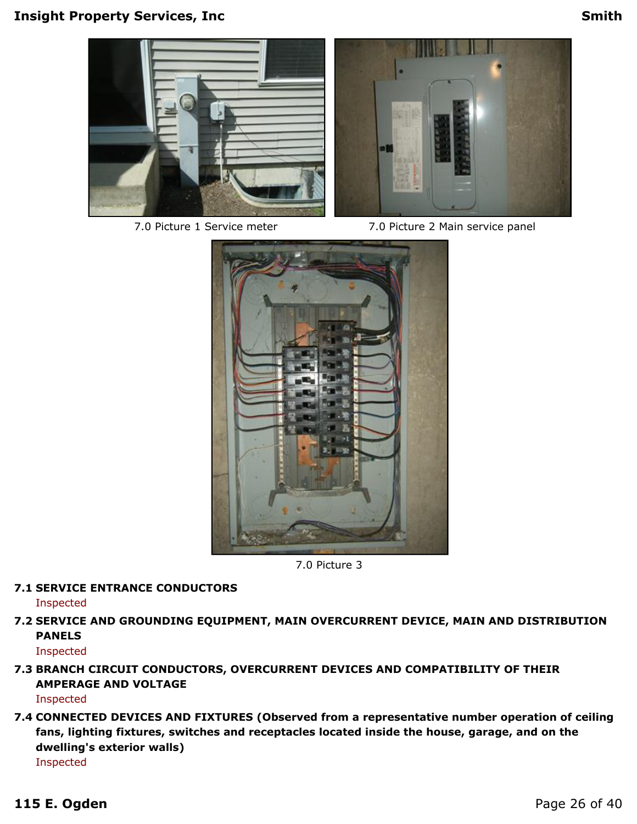

7.0 Picture 1 Service meter 7.0 Picture 2 Main service panel



7.0 Picture 3

#### **7.1 SERVICE ENTRANCE CONDUCTORS**

Inspected

**7.2 SERVICE AND GROUNDING EQUIPMENT, MAIN OVERCURRENT DEVICE, MAIN AND DISTRIBUTION PANELS**

Inspected

**7.3 BRANCH CIRCUIT CONDUCTORS, OVERCURRENT DEVICES AND COMPATIBILITY OF THEIR AMPERAGE AND VOLTAGE**

Inspected

**7.4 CONNECTED DEVICES AND FIXTURES (Observed from a representative number operation of ceiling fans, lighting fixtures, switches and receptacles located inside the house, garage, and on the dwelling's exterior walls)**

Inspected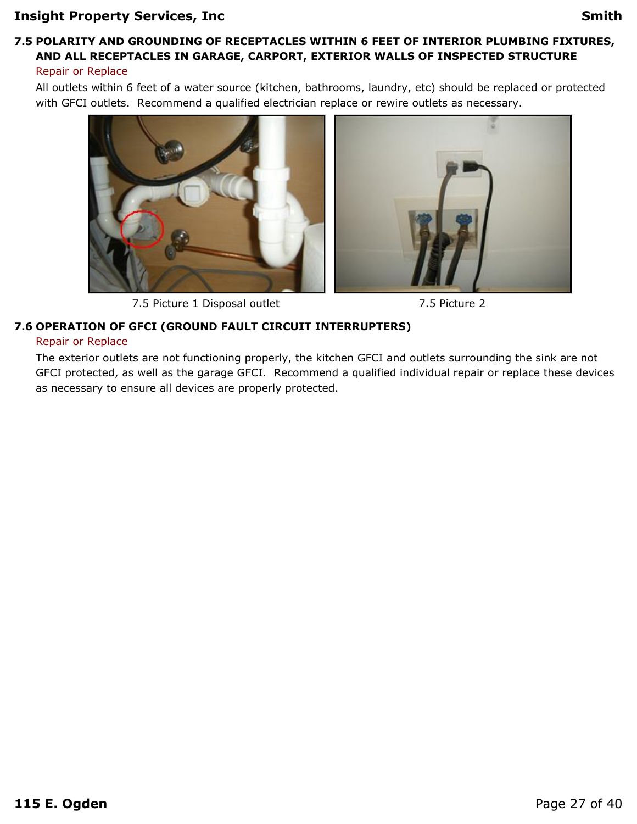#### **7.5 POLARITY AND GROUNDING OF RECEPTACLES WITHIN 6 FEET OF INTERIOR PLUMBING FIXTURES, AND ALL RECEPTACLES IN GARAGE, CARPORT, EXTERIOR WALLS OF INSPECTED STRUCTURE** Repair or Replace

All outlets within 6 feet of a water source (kitchen, bathrooms, laundry, etc) should be replaced or protected with GFCI outlets. Recommend a qualified electrician replace or rewire outlets as necessary.



7.5 Picture 1 Disposal outlet 7.5 Picture 2

### **7.6 OPERATION OF GFCI (GROUND FAULT CIRCUIT INTERRUPTERS)**

#### Repair or Replace

The exterior outlets are not functioning properly, the kitchen GFCI and outlets surrounding the sink are not GFCI protected, as well as the garage GFCI. Recommend a qualified individual repair or replace these devices as necessary to ensure all devices are properly protected.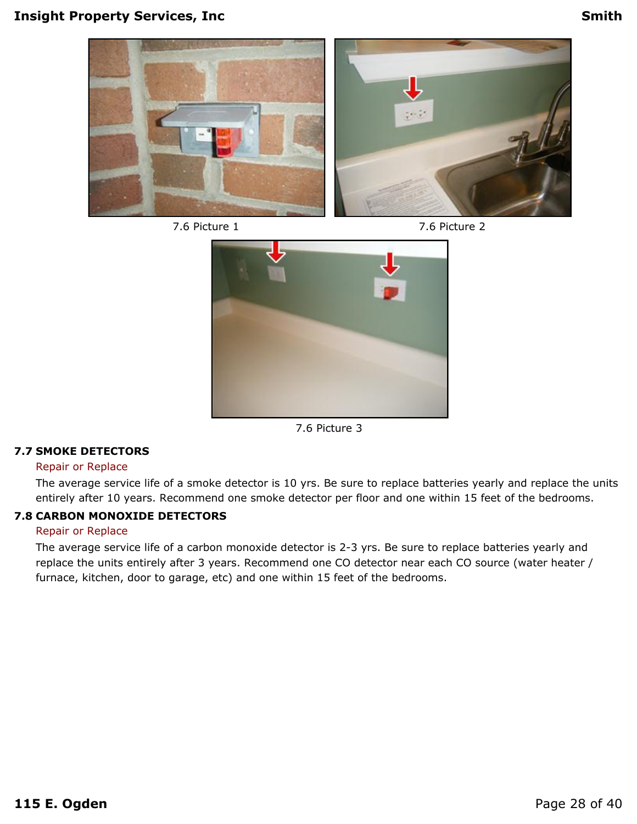







7.6 Picture 3

#### **7.7 SMOKE DETECTORS**

#### Repair or Replace

The average service life of a smoke detector is 10 yrs. Be sure to replace batteries yearly and replace the units entirely after 10 years. Recommend one smoke detector per floor and one within 15 feet of the bedrooms.

#### **7.8 CARBON MONOXIDE DETECTORS**

#### Repair or Replace

The average service life of a carbon monoxide detector is 2-3 yrs. Be sure to replace batteries yearly and replace the units entirely after 3 years. Recommend one CO detector near each CO source (water heater / furnace, kitchen, door to garage, etc) and one within 15 feet of the bedrooms.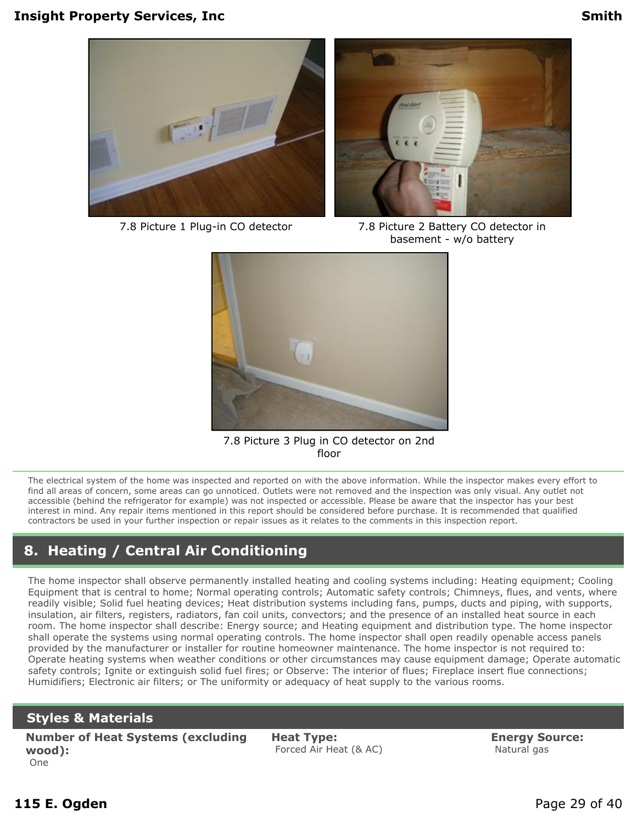



7.8 Picture 1 Plug-in CO detector 7.8 Picture 2 Battery CO detector in basement - w/o battery



7.8 Picture 3 Plug in CO detector on 2nd floor

The electrical system of the home was inspected and reported on with the above information. While the inspector makes every effort to find all areas of concern, some areas can go unnoticed. Outlets were not removed and the inspection was only visual. Any outlet not accessible (behind the refrigerator for example) was not inspected or accessible. Please be aware that the inspector has your best interest in mind. Any repair items mentioned in this report should be considered before purchase. It is recommended that qualified contractors be used in your further inspection or repair issues as it relates to the comments in this inspection report.

## <span id="page-28-0"></span>**8. Heating / Central Air Conditioning**

The home inspector shall observe permanently installed heating and cooling systems including: Heating equipment; Cooling Equipment that is central to home; Normal operating controls; Automatic safety controls; Chimneys, flues, and vents, where readily visible; Solid fuel heating devices; Heat distribution systems including fans, pumps, ducts and piping, with supports, insulation, air filters, registers, radiators, fan coil units, convectors; and the presence of an installed heat source in each room. The home inspector shall describe: Energy source; and Heating equipment and distribution type. The home inspector shall operate the systems using normal operating controls. The home inspector shall open readily openable access panels provided by the manufacturer or installer for routine homeowner maintenance. The home inspector is not required to: Operate heating systems when weather conditions or other circumstances may cause equipment damage; Operate automatic safety controls; Ignite or extinguish solid fuel fires; or Observe: The interior of flues; Fireplace insert flue connections; Humidifiers; Electronic air filters; or The uniformity or adequacy of heat supply to the various rooms.

## **Styles & Materials**

**Number of Heat Systems (excluding wood):** One

**Heat Type:** Forced Air Heat (& AC) **Energy Source:** Natural gas

**115 E. Ogden** Page 29 of 40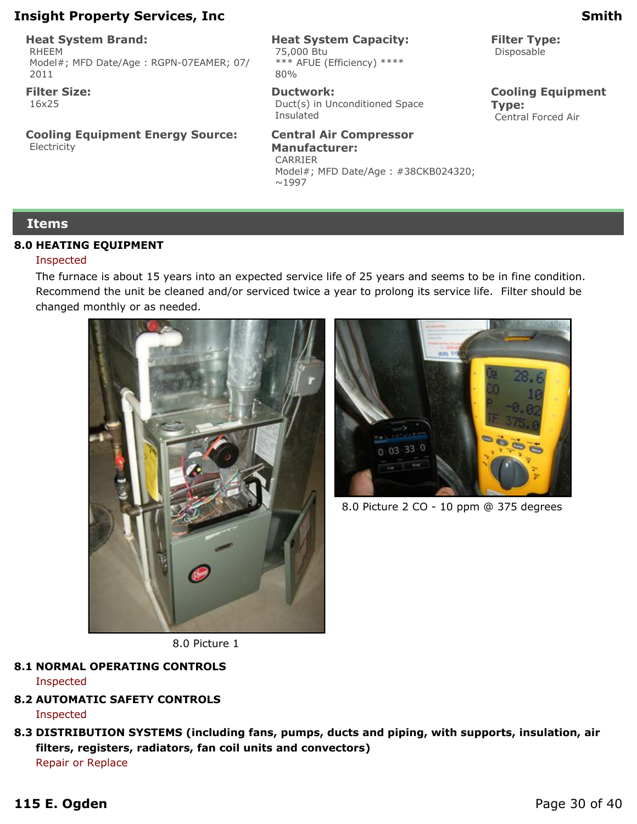#### **Heat System Brand:**

RHEEM Model#; MFD Date/Age : RGPN-07EAMER; 07/ 2011

**Filter Size:** 16x25

#### **Cooling Equipment Energy Source:** Electricity

**Heat System Capacity:**

75,000 Btu \*\*\* AFUE (Efficiency) \*\*\*\* 80%

**Ductwork:** Duct(s) in Unconditioned Space Insulated

**Central Air Compressor Manufacturer:** CARRIER Model#; MFD Date/Age : #38CKB024320;  $~1997$ 

**Filter Type:** Disposable

**Cooling Equipment Type:** Central Forced Air

### **Items**

#### **8.0 HEATING EQUIPMENT**

#### Inspected

The furnace is about 15 years into an expected service life of 25 years and seems to be in fine condition. Recommend the unit be cleaned and/or serviced twice a year to prolong its service life. Filter should be changed monthly or as needed.





8.0 Picture 2 CO - 10 ppm @ 375 degrees

8.0 Picture 1

## **8.1 NORMAL OPERATING CONTROLS**

Inspected

**8.2 AUTOMATIC SAFETY CONTROLS**

### Inspected

**8.3 DISTRIBUTION SYSTEMS (including fans, pumps, ducts and piping, with supports, insulation, air filters, registers, radiators, fan coil units and convectors)** Repair or Replace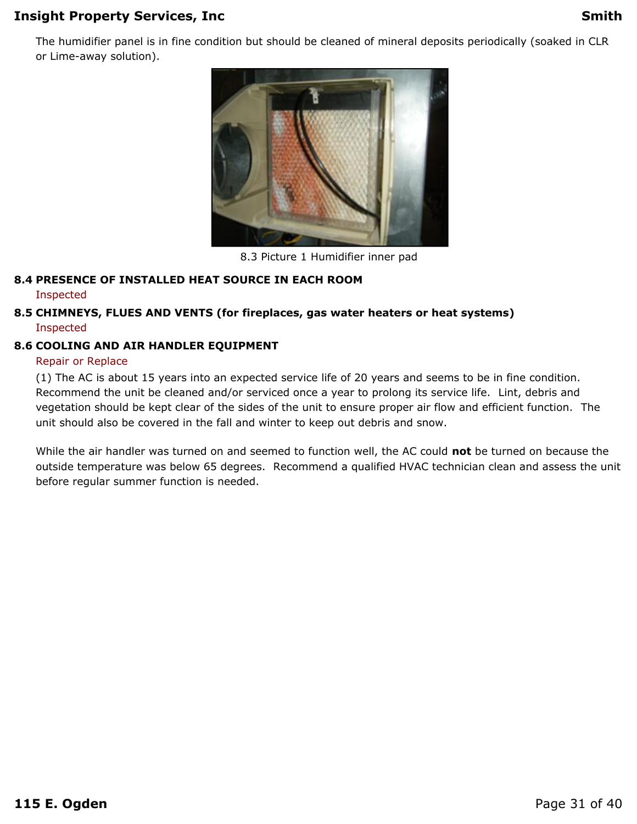The humidifier panel is in fine condition but should be cleaned of mineral deposits periodically (soaked in CLR or Lime-away solution).



8.3 Picture 1 Humidifier inner pad

#### **8.4 PRESENCE OF INSTALLED HEAT SOURCE IN EACH ROOM**

Inspected

### **8.5 CHIMNEYS, FLUES AND VENTS (for fireplaces, gas water heaters or heat systems)** Inspected

#### **8.6 COOLING AND AIR HANDLER EQUIPMENT**

#### Repair or Replace

(1) The AC is about 15 years into an expected service life of 20 years and seems to be in fine condition. Recommend the unit be cleaned and/or serviced once a year to prolong its service life. Lint, debris and vegetation should be kept clear of the sides of the unit to ensure proper air flow and efficient function. The unit should also be covered in the fall and winter to keep out debris and snow.

While the air handler was turned on and seemed to function well, the AC could **not** be turned on because the outside temperature was below 65 degrees. Recommend a qualified HVAC technician clean and assess the unit before regular summer function is needed.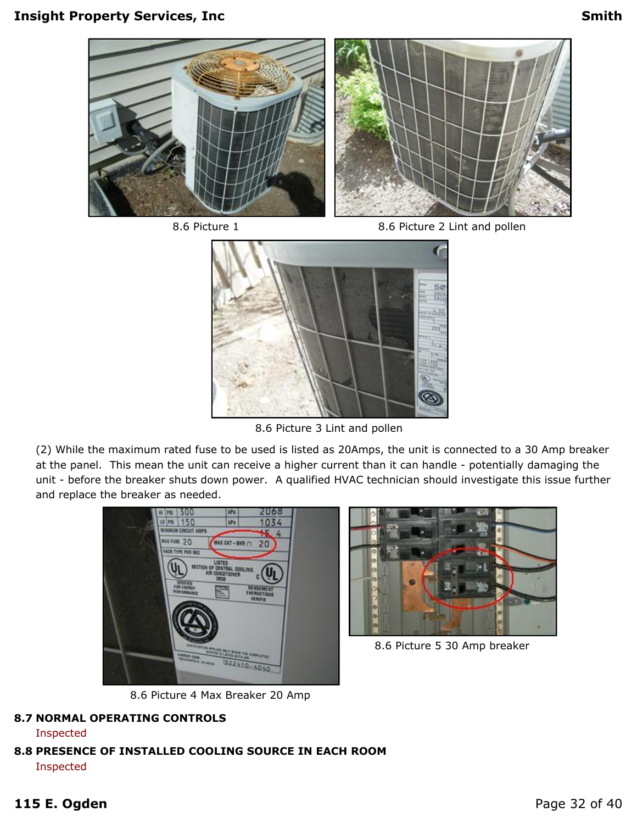

8.6 Picture 1 8.6 Picture 2 Lint and pollen



8.6 Picture 3 Lint and pollen

(2) While the maximum rated fuse to be used is listed as 20Amps, the unit is connected to a 30 Amp breaker at the panel. This mean the unit can receive a higher current than it can handle - potentially damaging the unit - before the breaker shuts down power. A qualified HVAC technician should investigate this issue further and replace the breaker as needed.





8.6 Picture 5 30 Amp breaker

8.6 Picture 4 Max Breaker 20 Amp

## **8.7 NORMAL OPERATING CONTROLS**

Inspected

## **8.8 PRESENCE OF INSTALLED COOLING SOURCE IN EACH ROOM** Inspected

**115 E. Ogden** Page 32 of 40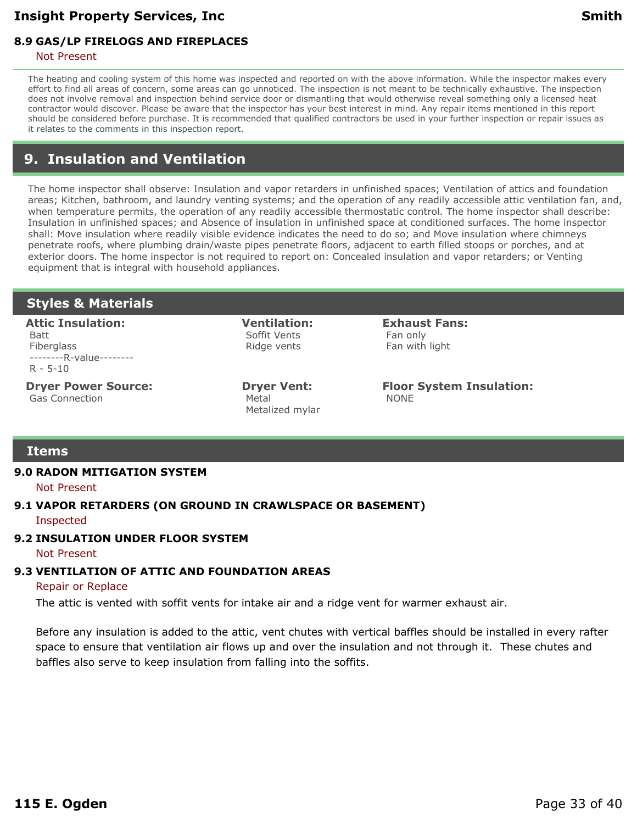## **8.9 GAS/LP FIRELOGS AND FIREPLACES**

#### Not Present

The heating and cooling system of this home was inspected and reported on with the above information. While the inspector makes every effort to find all areas of concern, some areas can go unnoticed. The inspection is not meant to be technically exhaustive. The inspection does not involve removal and inspection behind service door or dismantling that would otherwise reveal something only a licensed heat contractor would discover. Please be aware that the inspector has your best interest in mind. Any repair items mentioned in this report should be considered before purchase. It is recommended that qualified contractors be used in your further inspection or repair issues as it relates to the comments in this inspection report.

## <span id="page-32-0"></span>**9. Insulation and Ventilation**

The home inspector shall observe: Insulation and vapor retarders in unfinished spaces; Ventilation of attics and foundation areas; Kitchen, bathroom, and laundry venting systems; and the operation of any readily accessible attic ventilation fan, and, when temperature permits, the operation of any readily accessible thermostatic control. The home inspector shall describe: Insulation in unfinished spaces; and Absence of insulation in unfinished space at conditioned surfaces. The home inspector shall: Move insulation where readily visible evidence indicates the need to do so; and Move insulation where chimneys penetrate roofs, where plumbing drain/waste pipes penetrate floors, adjacent to earth filled stoops or porches, and at exterior doors. The home inspector is not required to report on: Concealed insulation and vapor retarders; or Venting equipment that is integral with household appliances.

## **Styles & Materials**

**Attic Insulation: Batt Fiberglass** --------R-value-------- R - 5-10

#### **Dryer Power Source:** Gas Connection

**Ventilation:** Soffit Vents Ridge vents

**Dryer Vent:** Metal Metalized mylar **Exhaust Fans:** Fan only Fan with light

**Floor System Insulation:** NONE

## **Items**

#### **9.0 RADON MITIGATION SYSTEM**

Not Present

## **9.1 VAPOR RETARDERS (ON GROUND IN CRAWLSPACE OR BASEMENT)**

Inspected

## **9.2 INSULATION UNDER FLOOR SYSTEM**

Not Present

## **9.3 VENTILATION OF ATTIC AND FOUNDATION AREAS**

#### Repair or Replace

The attic is vented with soffit vents for intake air and a ridge vent for warmer exhaust air.

Before any insulation is added to the attic, vent chutes with vertical baffles should be installed in every rafter space to ensure that ventilation air flows up and over the insulation and not through it. These chutes and baffles also serve to keep insulation from falling into the soffits.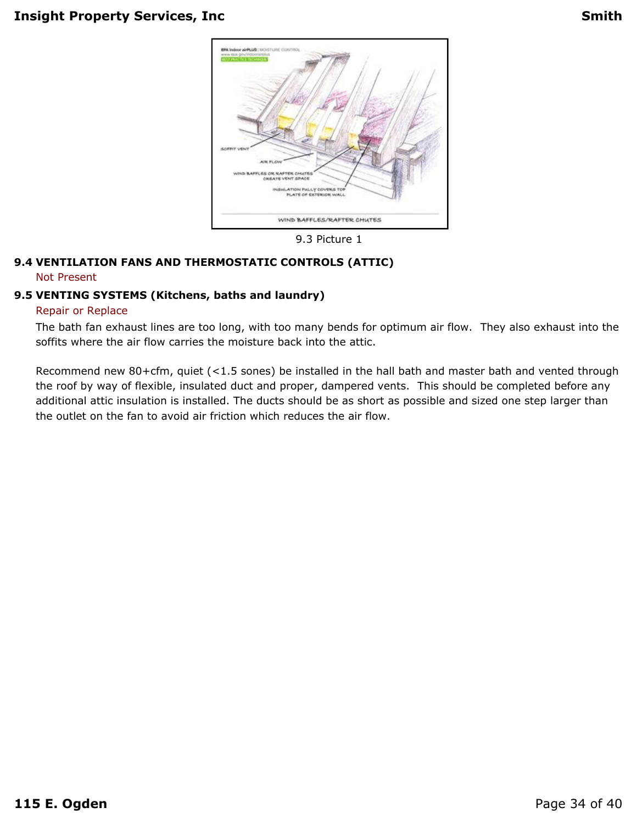

9.3 Picture 1

## **9.4 VENTILATION FANS AND THERMOSTATIC CONTROLS (ATTIC)**

Not Present

### **9.5 VENTING SYSTEMS (Kitchens, baths and laundry)**

#### Repair or Replace

The bath fan exhaust lines are too long, with too many bends for optimum air flow. They also exhaust into the soffits where the air flow carries the moisture back into the attic.

Recommend new 80+cfm, quiet (<1.5 sones) be installed in the hall bath and master bath and vented through the roof by way of flexible, insulated duct and proper, dampered vents. This should be completed before any additional attic insulation is installed. The ducts should be as short as possible and sized one step larger than the outlet on the fan to avoid air friction which reduces the air flow.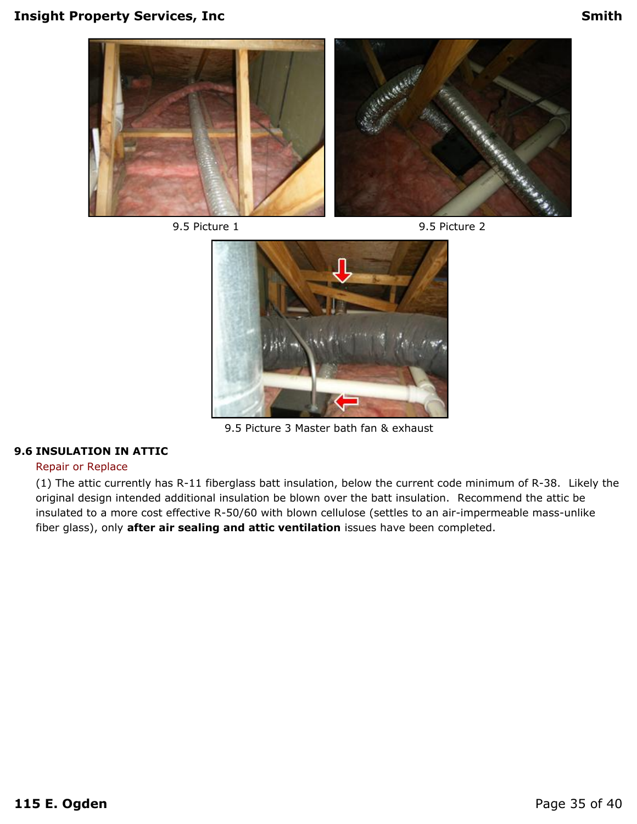

9.5 Picture 1 9.5 Picture 2





9.5 Picture 3 Master bath fan & exhaust

#### **9.6 INSULATION IN ATTIC**

#### Repair or Replace

(1) The attic currently has R-11 fiberglass batt insulation, below the current code minimum of R-38. Likely the original design intended additional insulation be blown over the batt insulation. Recommend the attic be insulated to a more cost effective R-50/60 with blown cellulose (settles to an air-impermeable mass-unlike fiber glass), only **after air sealing and attic ventilation** issues have been completed.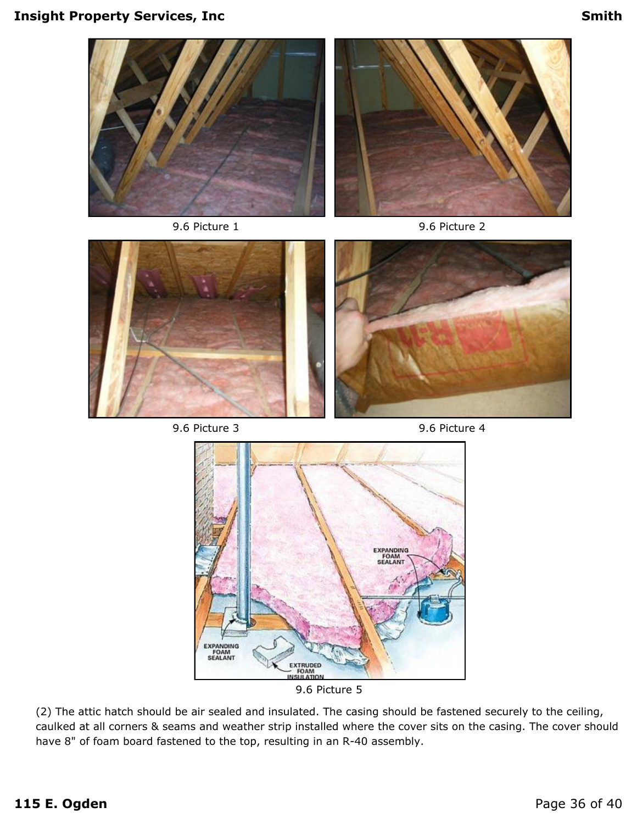















(2) The attic hatch should be air sealed and insulated. The casing should be fastened securely to the ceiling, caulked at all corners & seams and weather strip installed where the cover sits on the casing. The cover should have 8" of foam board fastened to the top, resulting in an R-40 assembly.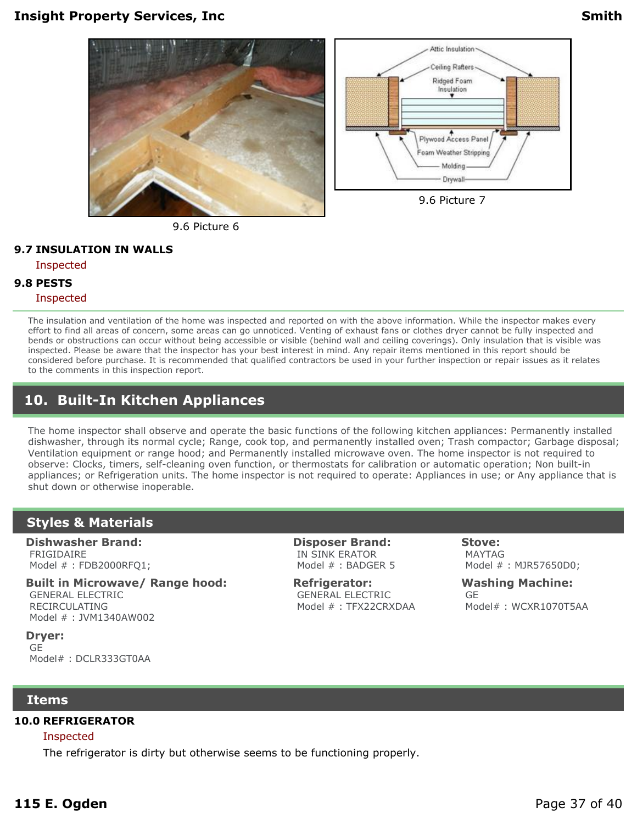

9.6 Picture 6

#### **9.7 INSULATION IN WALLS**

Inspected

#### **9.8 PESTS**

Inspected

The insulation and ventilation of the home was inspected and reported on with the above information. While the inspector makes every effort to find all areas of concern, some areas can go unnoticed. Venting of exhaust fans or clothes dryer cannot be fully inspected and bends or obstructions can occur without being accessible or visible (behind wall and ceiling coverings). Only insulation that is visible was inspected. Please be aware that the inspector has your best interest in mind. Any repair items mentioned in this report should be considered before purchase. It is recommended that qualified contractors be used in your further inspection or repair issues as it relates to the comments in this inspection report.

## <span id="page-36-0"></span>**10. Built-In Kitchen Appliances**

The home inspector shall observe and operate the basic functions of the following kitchen appliances: Permanently installed dishwasher, through its normal cycle; Range, cook top, and permanently installed oven; Trash compactor; Garbage disposal; Ventilation equipment or range hood; and Permanently installed microwave oven. The home inspector is not required to observe: Clocks, timers, self-cleaning oven function, or thermostats for calibration or automatic operation; Non built-in appliances; or Refrigeration units. The home inspector is not required to operate: Appliances in use; or Any appliance that is shut down or otherwise inoperable.

### **Styles & Materials**

**Dishwasher Brand:** FRIGIDAIRE Model # : FDB2000RFQ1;

**Built in Microwave/ Range hood:** GENERAL ELECTRIC RECIRCULATING Model # : JVM1340AW002

**Dryer:** GE Model# : DCLR333GT0AA **Disposer Brand:** IN SINK ERATOR Model # : BADGER 5

**Refrigerator:** GENERAL ELECTRIC Model # : TFX22CRXDAA **Stove:** MAYTAG Model # : MJR57650D0;

**Washing Machine:** GE Model# : WCXR1070T5AA

#### **Items**

#### **10.0 REFRIGERATOR**

Inspected

The refrigerator is dirty but otherwise seems to be functioning properly.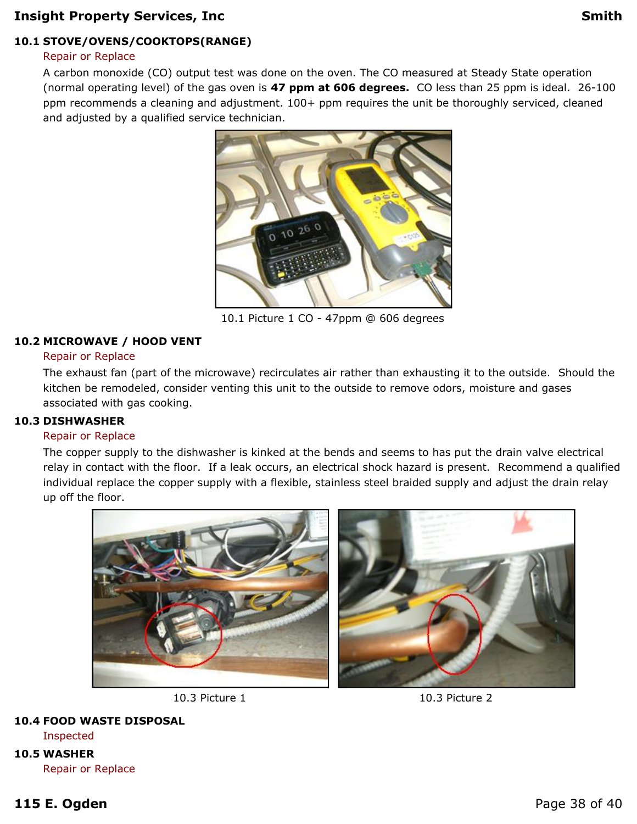#### **10.1 STOVE/OVENS/COOKTOPS(RANGE)**

#### Repair or Replace

A carbon monoxide (CO) output test was done on the oven. The CO measured at Steady State operation (normal operating level) of the gas oven is **47 ppm at 606 degrees.** CO less than 25 ppm is ideal. 26-100 ppm recommends a cleaning and adjustment. 100+ ppm requires the unit be thoroughly serviced, cleaned and adjusted by a qualified service technician.



10.1 Picture 1 CO - 47ppm @ 606 degrees

#### **10.2 MICROWAVE / HOOD VENT**

#### Repair or Replace

The exhaust fan (part of the microwave) recirculates air rather than exhausting it to the outside. Should the kitchen be remodeled, consider venting this unit to the outside to remove odors, moisture and gases associated with gas cooking.

#### **10.3 DISHWASHER**

#### Repair or Replace

The copper supply to the dishwasher is kinked at the bends and seems to has put the drain valve electrical relay in contact with the floor. If a leak occurs, an electrical shock hazard is present. Recommend a qualified individual replace the copper supply with a flexible, stainless steel braided supply and adjust the drain relay up off the floor.



10.3 Picture 1 10.3 Picture 2

### **10.4 FOOD WASTE DISPOSAL**

### Inspected **10.5 WASHER**

Repair or Replace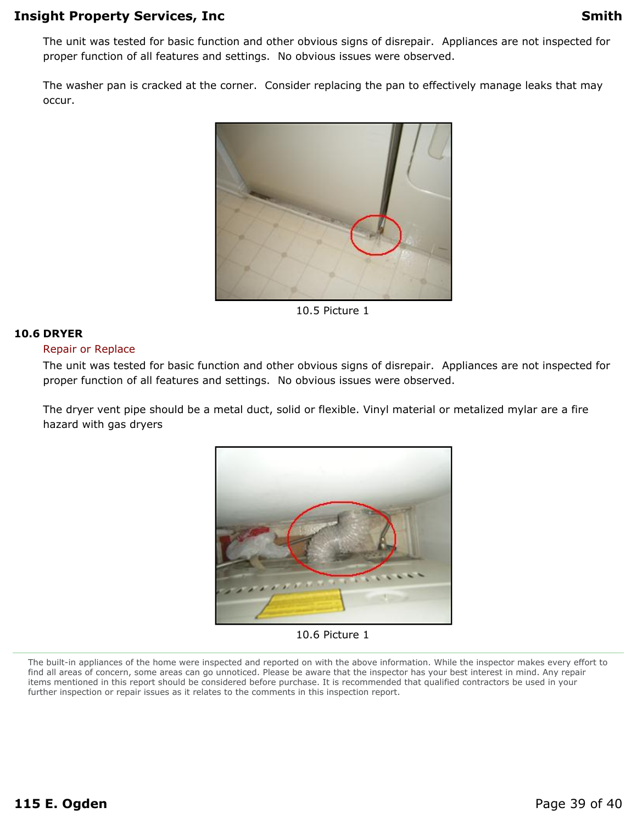The unit was tested for basic function and other obvious signs of disrepair. Appliances are not inspected for proper function of all features and settings. No obvious issues were observed.

The washer pan is cracked at the corner. Consider replacing the pan to effectively manage leaks that may occur.



10.5 Picture 1

#### **10.6 DRYER**

#### Repair or Replace

The unit was tested for basic function and other obvious signs of disrepair. Appliances are not inspected for proper function of all features and settings. No obvious issues were observed.

The dryer vent pipe should be a metal duct, solid or flexible. Vinyl material or metalized mylar are a fire hazard with gas dryers



10.6 Picture 1

The built-in appliances of the home were inspected and reported on with the above information. While the inspector makes every effort to find all areas of concern, some areas can go unnoticed. Please be aware that the inspector has your best interest in mind. Any repair items mentioned in this report should be considered before purchase. It is recommended that qualified contractors be used in your further inspection or repair issues as it relates to the comments in this inspection report.